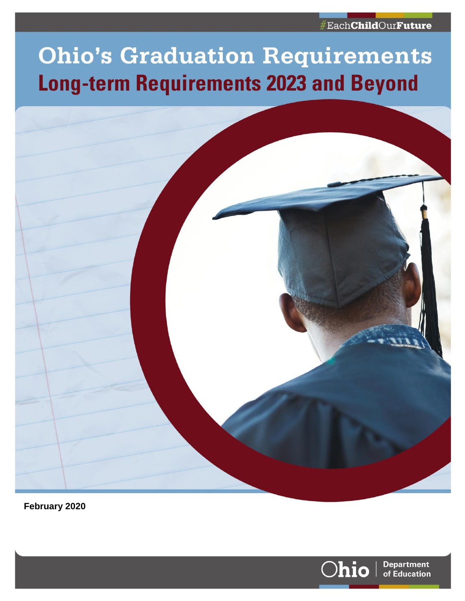## #EachChildOurFuture

# **Ohio's Graduation Requirements Long-term Requirements 2023 and Beyond**



**February 2020**

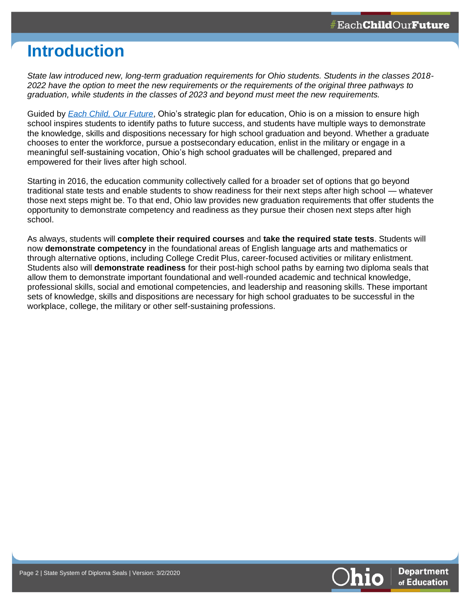## **Introduction**

*State law introduced new, long-term graduation requirements for Ohio students. Students in the classes 2018- 2022 have the option to meet the new requirements or the requirements of the original three pathways to graduation, while students in the classes of 2023 and beyond must meet the new requirements.* 

Guided by *[Each Child, Our Future](http://education.ohio.gov/getattachment/About/EachChildOurFuture/Final-Strategic-Plan-Board-Approved.pdf.aspx?lang=en-US)*, Ohio's strategic plan for education, Ohio is on a mission to ensure high school inspires students to identify paths to future success, and students have multiple ways to demonstrate the knowledge, skills and dispositions necessary for high school graduation and beyond. Whether a graduate chooses to enter the workforce, pursue a postsecondary education, enlist in the military or engage in a meaningful self-sustaining vocation, Ohio's high school graduates will be challenged, prepared and empowered for their lives after high school.

Starting in 2016, the education community collectively called for a broader set of options that go beyond traditional state tests and enable students to show readiness for their next steps after high school — whatever those next steps might be. To that end, Ohio law provides new graduation requirements that offer students the opportunity to demonstrate competency and readiness as they pursue their chosen next steps after high school.

As always, students will **complete their required courses** and **take the required state tests**. Students will now **demonstrate competency** in the foundational areas of English language arts and mathematics or through alternative options, including College Credit Plus, career-focused activities or military enlistment. Students also will **demonstrate readiness** for their post-high school paths by earning two diploma seals that allow them to demonstrate important foundational and well-rounded academic and technical knowledge, professional skills, social and emotional competencies, and leadership and reasoning skills. These important sets of knowledge, skills and dispositions are necessary for high school graduates to be successful in the workplace, college, the military or other self-sustaining professions.

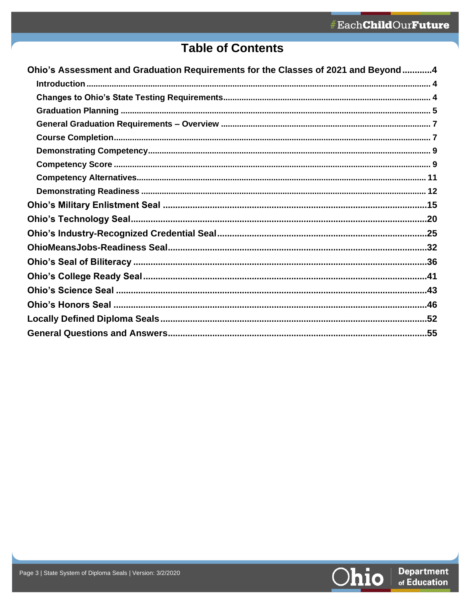## **Table of Contents**

| Ohio's Assessment and Graduation Requirements for the Classes of 2021 and Beyond4 |
|-----------------------------------------------------------------------------------|
|                                                                                   |
|                                                                                   |
|                                                                                   |
|                                                                                   |
|                                                                                   |
|                                                                                   |
|                                                                                   |
|                                                                                   |
|                                                                                   |
|                                                                                   |
|                                                                                   |
|                                                                                   |
|                                                                                   |
|                                                                                   |
|                                                                                   |
|                                                                                   |
|                                                                                   |
|                                                                                   |
|                                                                                   |

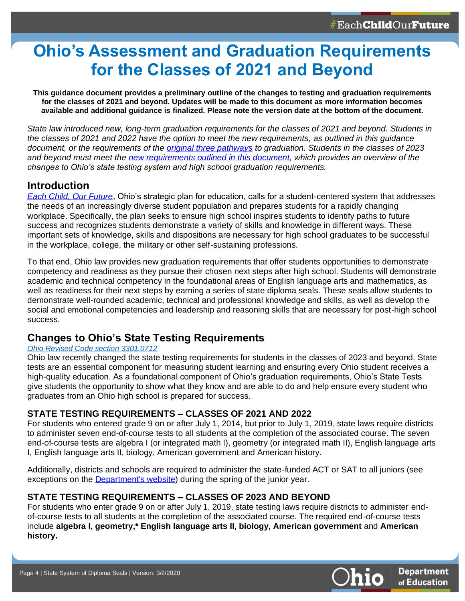## <span id="page-3-0"></span>**Ohio's Assessment and Graduation Requirements for the Classes of 2021 and Beyond**

**This guidance document provides a preliminary outline of the changes to testing and graduation requirements for the classes of 2021 and beyond. Updates will be made to this document as more information becomes available and additional guidance is finalized. Please note the version date at the bottom of the document.**

*State law introduced new, long-term graduation requirements for the classes of 2021 and beyond. Students in the classes of 2021 and 2022 have the option to meet the new requirements, as outlined in this guidance document, or the requirements of the [original three pathways](http://education.ohio.gov/Topics/Ohio-s-Graduation-Requirements/Earning-an-Ohio-High-School-Diploma-for-the-Cl-2) to graduation. Students in the classes of 2023 and beyond must meet the [new requirements outlined in this document,](http://education.ohio.gov/getattachment/Topics/Ohio-s-Graduation-Requirements/Graduation-Req-by-Cohort-Overview.pdf) which provides an overview of the changes to Ohio's state testing system and high school graduation requirements.*

## <span id="page-3-1"></span>**Introduction**

*[Each Child, Our Future](http://education.ohio.gov/About/EachChildOurFuture)*, Ohio's strategic plan for education, calls for a student-centered system that addresses the needs of an increasingly diverse student population and prepares students for a rapidly changing workplace. Specifically, the plan seeks to ensure high school inspires students to identify paths to future success and recognizes students demonstrate a variety of skills and knowledge in different ways. These important sets of knowledge, skills and dispositions are necessary for high school graduates to be successful in the workplace, college, the military or other self-sustaining professions.

To that end, Ohio law provides new graduation requirements that offer students opportunities to demonstrate competency and readiness as they pursue their chosen next steps after high school. Students will demonstrate academic and technical competency in the foundational areas of English language arts and mathematics, as well as readiness for their next steps by earning a series of state diploma seals. These seals allow students to demonstrate well-rounded academic, technical and professional knowledge and skills, as well as develop the social and emotional competencies and leadership and reasoning skills that are necessary for post-high school success.

## <span id="page-3-2"></span>**Changes to Ohio's State Testing Requirements**

### *[Ohio Revised Code section 3301.0712](http://codes.ohio.gov/orc/3301.0712)*

Ohio law recently changed the state testing requirements for students in the classes of 2023 and beyond. State tests are an essential component for measuring student learning and ensuring every Ohio student receives a high-quality education. As a foundational component of Ohio's graduation requirements, Ohio's State Tests give students the opportunity to show what they know and are able to do and help ensure every student who graduates from an Ohio high school is prepared for success.

## **STATE TESTING REQUIREMENTS – CLASSES OF 2021 AND 2022**

For students who entered grade 9 on or after July 1, 2014, but prior to July 1, 2019, state laws require districts to administer seven end-of-course tests to all students at the completion of the associated course. The seven end-of-course tests are algebra I (or integrated math I), geometry (or integrated math II), English language arts I, English language arts II, biology, American government and American history.

Additionally, districts and schools are required to administer the state-funded ACT or SAT to all juniors (see exceptions on the [Department's website\)](http://education.ohio.gov/Topics/Testing/ACT-SAT-FAQs) during the spring of the junior year.

## **STATE TESTING REQUIREMENTS – CLASSES OF 2023 AND BEYOND**

For students who enter grade 9 on or after July 1, 2019, state testing laws require districts to administer endof-course tests to all students at the completion of the associated course. The required end-of-course tests include **algebra I, geometry,\* English language arts II, biology, American government** and **American history.**

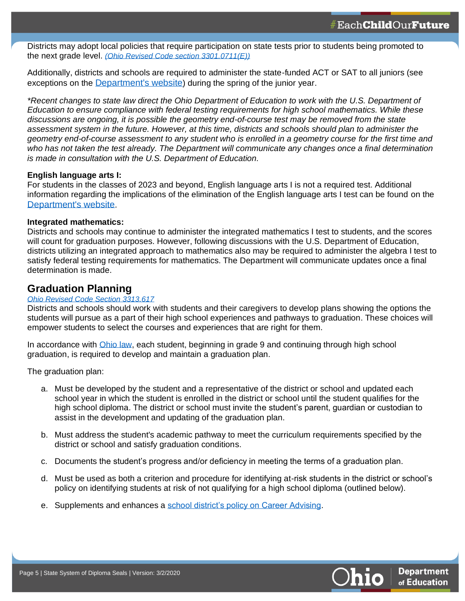Districts may adopt local policies that require participation on state tests prior to students being promoted to the next grade level. *[\(Ohio Revised Code section 3301.0711\(E\)\)](http://codes.ohio.gov/orc/3301.0711)*

Additionally, districts and schools are required to administer the state-funded ACT or SAT to all juniors (see exceptions on the [Department's website](http://education.ohio.gov/Topics/Testing/ACT-SAT-FAQs)) during the spring of the junior year.

*\*Recent changes to state law direct the Ohio Department of Education to work with the U.S. Department of Education to ensure compliance with federal testing requirements for high school mathematics. While these discussions are ongoing, it is possible the geometry end-of-course test may be removed from the state assessment system in the future. However, at this time, districts and schools should plan to administer the geometry end-of-course assessment to any student who is enrolled in a geometry course for the first time and who has not taken the test already. The Department will communicate any changes once a final determination is made in consultation with the U.S. Department of Education.*

#### **English language arts I:**

For students in the classes of 2023 and beyond, English language arts I is not a required test. Additional information regarding the implications of the elimination of the English language arts I test can be found on the [Department's website](http://education.ohio.gov/getattachment/Topics/Testing/Sections/Resources/Elimination-of-ELA.pdf.aspx?lang=en-US).

#### **Integrated mathematics:**

Districts and schools may continue to administer the integrated mathematics I test to students, and the scores will count for graduation purposes. However, following discussions with the U.S. Department of Education, districts utilizing an integrated approach to mathematics also may be required to administer the algebra I test to satisfy federal testing requirements for mathematics. The Department will communicate updates once a final determination is made.

### <span id="page-4-0"></span>**Graduation Planning**

#### *[Ohio Revised Code Section 3313.617](http://codes.ohio.gov/orc/3313.617)*

Districts and schools should work with students and their caregivers to develop plans showing the options the students will pursue as a part of their high school experiences and pathways to graduation. These choices will empower students to select the courses and experiences that are right for them.

In accordance with [Ohio law,](http://codes.ohio.gov/orc/3313.617http:/codes.ohio.gov/orc/3313.617) each student, beginning in grade 9 and continuing through high school graduation, is required to develop and maintain a graduation plan.

The graduation plan:

- a. Must be developed by the student and a representative of the district or school and updated each school year in which the student is enrolled in the district or school until the student qualifies for the high school diploma. The district or school must invite the student's parent, guardian or custodian to assist in the development and updating of the graduation plan.
- b. Must address the student's academic pathway to meet the curriculum requirements specified by the district or school and satisfy graduation conditions.
- c. Documents the student's progress and/or deficiency in meeting the terms of a graduation plan.
- d. Must be used as both a criterion and procedure for identifying at-risk students in the district or school's policy on identifying students at risk of not qualifying for a high school diploma (outlined below).
- e. Supplements and enhances a [school district's policy on Career Advising.](http://education.ohio.gov/Topics/Career-Tech/Career-Connections/Career-Advising-Policy-and-Student-Success-Plan)

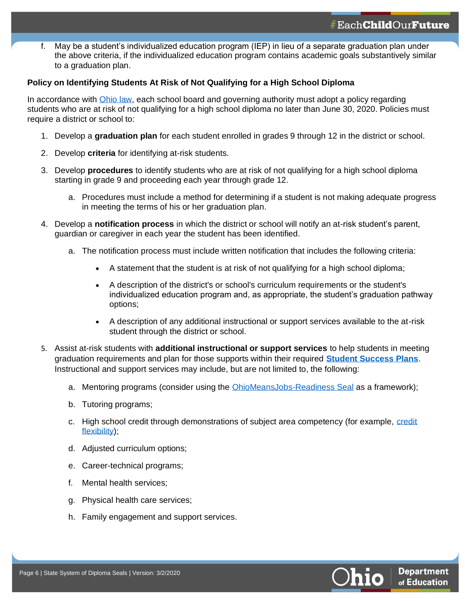f. May be a student's individualized education program (IEP) in lieu of a separate graduation plan under the above criteria, if the individualized education program contains academic goals substantively similar to a graduation plan.

#### **Policy on Identifying Students At Risk of Not Qualifying for a High School Diploma**

In accordance with [Ohio law,](http://codes.ohio.gov/orc/3313.617http:/codes.ohio.gov/orc/3313.617) each school board and governing authority must adopt a policy regarding students who are at risk of not qualifying for a high school diploma no later than June 30, 2020. Policies must require a district or school to:

- 1. Develop a **graduation plan** for each student enrolled in grades 9 through 12 in the district or school.
- 2. Develop **criteria** for identifying at-risk students.
- 3. Develop **procedures** to identify students who are at risk of not qualifying for a high school diploma starting in grade 9 and proceeding each year through grade 12.
	- a. Procedures must include a method for determining if a student is not making adequate progress in meeting the terms of his or her graduation plan.
- 4. Develop a **notification process** in which the district or school will notify an at-risk student's parent, guardian or caregiver in each year the student has been identified.
	- a. The notification process must include written notification that includes the following criteria:
		- A statement that the student is at risk of not qualifying for a high school diploma;
		- A description of the district's or school's curriculum requirements or the student's individualized education program and, as appropriate, the student's graduation pathway options;
		- A description of any additional instructional or support services available to the at-risk student through the district or school.
- 5. Assist at-risk students with **additional instructional or support services** to help students in meeting graduation requirements and plan for those supports within their required **[Student Success Plans](http://education.ohio.gov/Topics/Career-Tech/Career-Connections/Career-Advising-Policy-and-Student-Success-Plan)**. Instructional and support services may include, but are not limited to, the following:
	- a. Mentoring programs (consider using the **[OhioMeansJobs-Readiness Seal](http://education.ohio.gov/Topics/New-Skills-for-Youth/SuccessBound/OhioMeansJobs-Readiness-Seal)** as a framework);
	- b. Tutoring programs;
	- c. High school [credit](http://education.ohio.gov/Topics/Ohio-Education-Options/Credit-Flexibility-Plan) through demonstrations of subject area competency (for example, credit [flexibility\)](http://education.ohio.gov/Topics/Ohio-Education-Options/Credit-Flexibility-Plan);
	- d. Adjusted curriculum options;
	- e. Career-technical programs;
	- f. Mental health services;
	- g. Physical health care services;
	- h. Family engagement and support services.

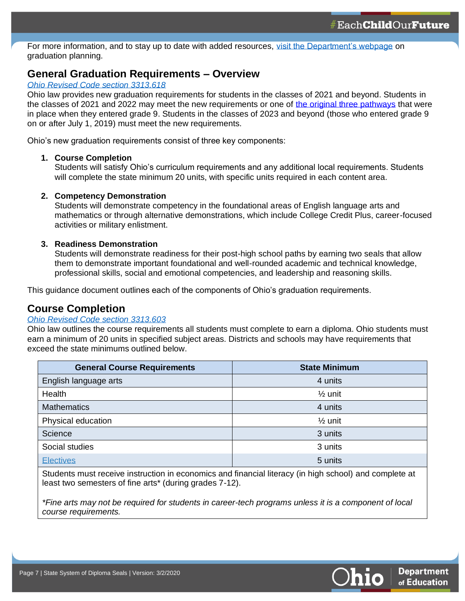For more information, and to stay up to date with added resources, [visit the Department's webpage](http://education.ohio.gov/Topics/Ohio-s-Graduation-Requirements/Graduation-Plans-and-Policies-for-Identifying-Stud#_ftn1) on graduation planning.

## <span id="page-6-0"></span>**General Graduation Requirements – Overview**

#### *[Ohio Revised Code section 3313.618](http://codes.ohio.gov/orc/3313.618)*

Ohio law provides new graduation requirements for students in the classes of 2021 and beyond. Students in the classes of 2021 and 2022 may meet the new requirements or one of [the original three pathways](http://education.ohio.gov/Topics/Ohio-s-Graduation-Requirements/Earning-an-Ohio-High-School-Diploma-for-the-Cl-2) that were in place when they entered grade 9. Students in the classes of 2023 and beyond (those who entered grade 9 on or after July 1, 2019) must meet the new requirements.

Ohio's new graduation requirements consist of three key components:

#### **1. Course Completion**

Students will satisfy Ohio's curriculum requirements and any additional local requirements. Students will complete the state minimum 20 units, with specific units required in each content area.

#### **2. Competency Demonstration**

Students will demonstrate competency in the foundational areas of English language arts and mathematics or through alternative demonstrations, which include College Credit Plus, career-focused activities or military enlistment.

#### **3. Readiness Demonstration**

Students will demonstrate readiness for their post-high school paths by earning two seals that allow them to demonstrate important foundational and well-rounded academic and technical knowledge, professional skills, social and emotional competencies, and leadership and reasoning skills.

This guidance document outlines each of the components of Ohio's graduation requirements.

## <span id="page-6-1"></span>**Course Completion**

#### *[Ohio Revised Code section 3313.603](http://codes.ohio.gov/orc/3313.603)*

Ohio law outlines the course requirements all students must complete to earn a diploma. Ohio students must earn a minimum of 20 units in specified subject areas. Districts and schools may have requirements that exceed the state minimums outlined below.

| <b>General Course Requirements</b> | <b>State Minimum</b> |
|------------------------------------|----------------------|
| English language arts              | 4 units              |
| Health                             | $\frac{1}{2}$ unit   |
| <b>Mathematics</b>                 | 4 units              |
| Physical education                 | $\frac{1}{2}$ unit   |
| Science                            | 3 units              |
| Social studies                     | 3 units              |
| <b>Electives</b>                   | 5 units              |

Students must receive instruction in economics and financial literacy (in high school) and complete at least two semesters of fine arts\* (during grades 7-12).

*\*Fine arts may not be required for students in career-tech programs unless it is a component of local course requirements.*

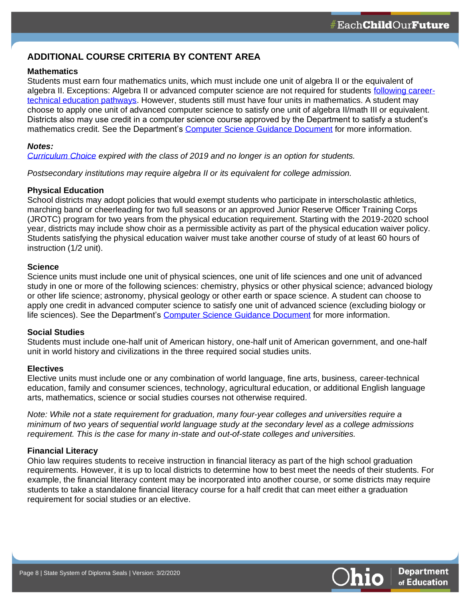### **ADDITIONAL COURSE CRITERIA BY CONTENT AREA**

#### **Mathematics**

Students must earn four mathematics units, which must include one unit of algebra II or the equivalent of algebra II. Exceptions: Algebra II or advanced computer science are not required for students [following career](http://education.ohio.gov/getattachment/Topics/Ohios-Learning-Standards/Mathematics/Math-Graduation-Requirements/Career-Technical-Pathway-Algebra-II-Replacement-Guidelines.pdf.aspx)[technical education pathways.](http://education.ohio.gov/getattachment/Topics/Ohios-Learning-Standards/Mathematics/Math-Graduation-Requirements/Career-Technical-Pathway-Algebra-II-Replacement-Guidelines.pdf.aspx) However, students still must have four units in mathematics. A student may choose to apply one unit of advanced computer science to satisfy one unit of algebra II/math III or equivalent. Districts also may use credit in a computer science course approved by the Department to satisfy a student's mathematics credit. See the Department's [Computer Science Guidance Document](http://education.ohio.gov/getattachment/Topics/Learning-in-Ohio/Computer-Science/Resources-for-Computer-Science/Computer-Science-Guidelines.pdf.aspx?lang=en-US) for more information.

#### *Notes:*

*[Curriculum Choice](http://education.ohio.gov/Topics/Learning-in-Ohio/Ohios-Learning-Standards/Ohio-Curriculum-Choices) expired with the class of 2019 and no longer is an option for students.*

*Postsecondary institutions may require algebra II or its equivalent for college admission.*

#### **Physical Education**

School districts may adopt policies that would exempt students who participate in interscholastic athletics, marching band or cheerleading for two full seasons or an approved Junior Reserve Officer Training Corps (JROTC) program for two years from the physical education requirement. Starting with the 2019-2020 school year, districts may include show choir as a permissible activity as part of the physical education waiver policy. Students satisfying the physical education waiver must take another course of study of at least 60 hours of instruction (1/2 unit).

#### **Science**

Science units must include one unit of physical sciences, one unit of life sciences and one unit of advanced study in one or more of the following sciences: chemistry, physics or other physical science; advanced biology or other life science; astronomy, physical geology or other earth or space science. A student can choose to apply one credit in advanced computer science to satisfy one unit of advanced science (excluding biology or life sciences). See the Department's [Computer Science Guidance Document](http://education.ohio.gov/getattachment/Topics/Learning-in-Ohio/Computer-Science/Resources-for-Computer-Science/Computer-Science-Guidelines.pdf.aspx?lang=en-US) for more information.

#### **Social Studies**

Students must include one-half unit of American history, one-half unit of American government, and one-half unit in world history and civilizations in the three required social studies units.

#### **Electives**

Elective units must include one or any combination of world language, fine arts, business, career-technical education, family and consumer sciences, technology, agricultural education, or additional English language arts, mathematics, science or social studies courses not otherwise required.

*Note: While not a state requirement for graduation, many four-year colleges and universities require a minimum of two years of sequential world language study at the secondary level as a college admissions requirement. This is the case for many in-state and out-of-state colleges and universities.*

#### **Financial Literacy**

<span id="page-7-0"></span>Ohio law requires students to receive instruction in financial literacy as part of the high school graduation requirements. However, it is up to local districts to determine how to best meet the needs of their students. For example, the financial literacy content may be incorporated into another course, or some districts may require students to take a standalone financial literacy course for a half credit that can meet either a graduation requirement for social studies or an elective.

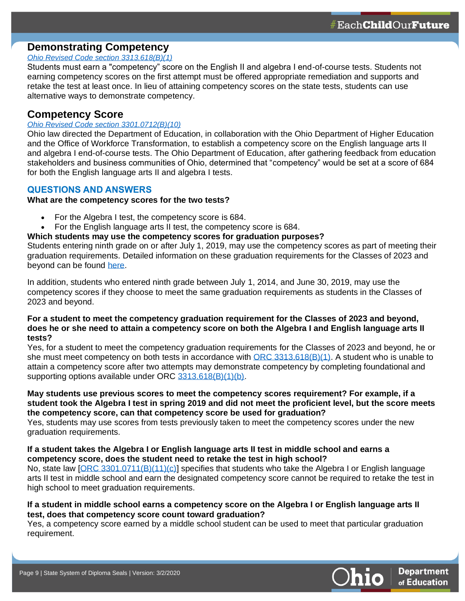## **Demonstrating Competency**

#### *[Ohio Revised Code section 3313.618\(B\)\(1\)](http://codes.ohio.gov/orc/3313.618)*

Students must earn a "competency" score on the English II and algebra I end-of-course tests. Students not earning competency scores on the first attempt must be offered appropriate remediation and supports and retake the test at least once. In lieu of attaining competency scores on the state tests, students can use alternative ways to demonstrate competency.

### <span id="page-8-0"></span>**Competency Score**

#### *[Ohio Revised Code section 3301.0712\(B\)\(10\)](http://codes.ohio.gov/orc/3301.0712)*

Ohio law directed the Department of Education, in collaboration with the Ohio Department of Higher Education and the Office of Workforce Transformation, to establish a competency score on the English language arts II and algebra I end-of-course tests. The Ohio Department of Education, after gathering feedback from education stakeholders and business communities of Ohio, determined that "competency" would be set at a score of 684 for both the English language arts II and algebra I tests.

#### **QUESTIONS AND ANSWERS**

#### **What are the competency scores for the two tests?**

- For the Algebra I test, the competency score is 684.
- For the English language arts II test, the competency score is 684.

#### **Which students may use the competency scores for graduation purposes?**

Students entering ninth grade on or after July 1, 2019, may use the competency scores as part of meeting their graduation requirements. Detailed information on these graduation requirements for the Classes of 2023 and beyond can be found [here.](https://education.ohio.gov/getattachment/Topics/Ohio-s-Graduation-Requirements/Sections/Classes-of-2023-and-Beyond-Graduation-Requirements/GradReq2023.pdf.aspx?lang=en-US)

In addition, students who entered ninth grade between July 1, 2014, and June 30, 2019, may use the competency scores if they choose to meet the same graduation requirements as students in the Classes of 2023 and beyond.

#### **For a student to meet the competency graduation requirement for the Classes of 2023 and beyond, does he or she need to attain a competency score on both the Algebra I and English language arts II tests?**

Yes, for a student to meet the competency graduation requirements for the Classes of 2023 and beyond, he or she must meet competency on both tests in accordance with  $\overline{ORC}$  3313.618(B)(1). A student who is unable to attain a competency score after two attempts may demonstrate competency by completing foundational and supporting options available under ORC [3313.618\(B\)\(1\)\(b\).](http://codes.ohio.gov/orc/3313.618)

#### **May students use previous scores to meet the competency scores requirement? For example, if a student took the Algebra I test in spring 2019 and did not meet the proficient level, but the score meets the competency score, can that competency score be used for graduation?**

Yes, students may use scores from tests previously taken to meet the competency scores under the new graduation requirements.

#### **If a student takes the Algebra I or English language arts II test in middle school and earns a competency score, does the student need to retake the test in high school?**

No, state law [\[ORC 3301.0711\(B\)\(11\)\(c\)\]](http://codes.ohio.gov/orc/3301.0711) specifies that students who take the Algebra I or English language arts II test in middle school and earn the designated competency score cannot be required to retake the test in high school to meet graduation requirements.

#### **If a student in middle school earns a competency score on the Algebra I or English language arts II test, does that competency score count toward graduation?**

Yes, a competency score earned by a middle school student can be used to meet that particular graduation requirement.

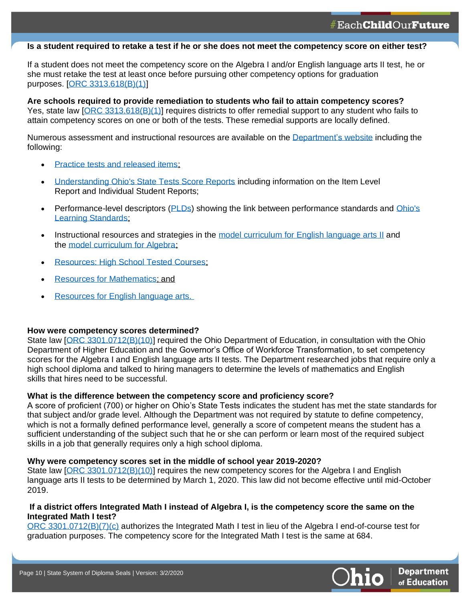#### **Is a student required to retake a test if he or she does not meet the competency score on either test?**

If a student does not meet the competency score on the Algebra I and/or English language arts II test, he or she must retake the test at least once before pursuing other competency options for graduation purposes. [\[ORC 3313.618\(B\)\(1\)\]](http://codes.ohio.gov/orc/3313.618)

**Are schools required to provide remediation to students who fail to attain competency scores?** Yes, state law [\[ORC 3313.618\(B\)\(1\)\]](http://codes.ohio.gov/orc/3313.618) requires districts to offer remedial support to any student who fails to attain competency scores on one or both of the tests. These remedial supports are locally defined.

Numerous assessment and instructional resources are available on the [Department's](http://education.ohio.gov/Topics/Ohio-s-Graduation-Requirements/High-School-State-Tested-Courses-Resources) website including the following:

• Practice tests and released items:

**10**

- [Understanding Ohio's State Tests Score Reports](https://oh.portal.airast.org/core/fileparse.php/3094/urlt/Understanding_State_Tests_Reports_2019-2020.pdf) including information on the Item Level Report and Individual Student Reports;
- Performance-level descriptors [\(PLDs\)](https://oh.portal.airast.org/resources/reporting-resources/) showing the link between performance standards and [Ohio's](http://education.ohio.gov/Topics/Learning-in-Ohio/OLS-Graphic-Sections/Learning-Standards)  [Learning Standards;](http://education.ohio.gov/Topics/Learning-in-Ohio/OLS-Graphic-Sections/Learning-Standards)
- Instructional resources and strategies in the model curriculum for [English language arts](http://education.ohio.gov/Topics/Learning-in-Ohio/English-Language-Art/Model-Curriculum-for-English-Language-Arts) II and the [model curriculum for Algebra;](http://education.ohio.gov/Topics/Learning-in-Ohio/Mathematics/Model-Curricula-in-Mathematics)
- **Resources: High School Tested Courses:**
- [Resources for Mathematics;](http://education.ohio.gov/Topics/Learning-in-Ohio/Mathematics/Resources-for-Mathematics) and
- [Resources for English language arts.](http://education.ohio.gov/Topics/Learning-in-Ohio/English-Language-Art/Resources-for-English-Language-Arts)

#### **How were competency scores determined?**

State law [\[ORC 3301.0712\(B\)\(10\)\]](http://codes.ohio.gov/orc/3301.0712) required the Ohio Department of Education, in consultation with the Ohio Department of Higher Education and the Governor's Office of Workforce Transformation, to set competency scores for the Algebra I and English language arts II tests. The Department researched jobs that require only a high school diploma and talked to hiring managers to determine the levels of mathematics and English skills that hires need to be successful.

#### **What is the difference between the competency score and proficiency score?**

A score of proficient (700) or higher on Ohio's State Tests indicates the student has met the state standards for that subject and/or grade level. Although the Department was not required by statute to define competency, which is not a formally defined performance level, generally a score of competent means the student has a sufficient understanding of the subject such that he or she can perform or learn most of the required subject skills in a job that generally requires only a high school diploma.

#### **Why were competency scores set in the middle of school year 2019-2020?**

State law [\[ORC 3301.0712\(B\)\(10\)\]](http://codes.ohio.gov/orc/3301.0712) requires the new competency scores for the Algebra I and English language arts II tests to be determined by March 1, 2020. This law did not become effective until mid-October 2019.

#### **If a district offers Integrated Math I instead of Algebra I, is the competency score the same on the Integrated Math I test?**

ORC [3301.0712\(B\)\(7\)\(c\)](http://codes.ohio.gov/orc/3301.0712) authorizes the Integrated Math I test in lieu of the Algebra I end-of-course test for graduation purposes. The competency score for the Integrated Math I test is the same at 684.

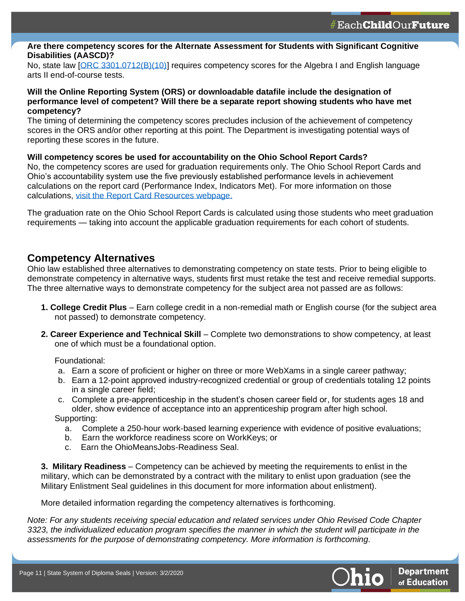#### **Are there competency scores for the Alternate Assessment for Students with Significant Cognitive Disabilities (AASCD)?**

No, state law [\[ORC 3301.0712\(B\)\(10\)\]](http://codes.ohio.gov/orc/3301.0712) requires competency scores for the Algebra I and English language arts II end-of-course tests.

#### **Will the Online Reporting System (ORS) or downloadable datafile include the designation of performance level of competent? Will there be a separate report showing students who have met competency?**

The timing of determining the competency scores precludes inclusion of the achievement of competency scores in the ORS and/or other reporting at this point. The Department is investigating potential ways of reporting these scores in the future.

#### **Will competency scores be used for accountability on the Ohio School Report Cards?**

No, the competency scores are used for graduation requirements only. The Ohio School Report Cards and Ohio's accountability system use the five previously established performance levels in achievement calculations on the report card (Performance Index, Indicators Met). For more information on those calculations, [visit the Report Card Resources webpage.](http://education.ohio.gov/Topics/Data/Report-Card-Resources) 

The graduation rate on the Ohio School Report Cards is calculated using those students who meet graduation requirements — taking into account the applicable graduation requirements for each cohort of students.

## <span id="page-10-0"></span>**Competency Alternatives**

**11**

Ohio law established three alternatives to demonstrating competency on state tests. Prior to being eligible to demonstrate competency in alternative ways, students first must retake the test and receive remedial supports. The three alternative ways to demonstrate competency for the subject area not passed are as follows:

- **1. College Credit Plus** Earn college credit in a non-remedial math or English course (for the subject area not passed) to demonstrate competency.
- **2. Career Experience and Technical Skill** Complete two demonstrations to show competency, at least one of which must be a foundational option.

Foundational:

- a. Earn a score of proficient or higher on three or more WebXams in a single career pathway;
- b. Earn a 12-point approved industry-recognized credential or group of credentials totaling 12 points in a single career field;
- c. Complete a pre-apprenticeship in the student's chosen career field or, for students ages 18 and older, show evidence of acceptance into an apprenticeship program after high school. Supporting:
	- a. Complete a 250-hour work-based learning experience with evidence of positive evaluations;
	- b. Earn the workforce readiness score on WorkKeys; or
	- c. Earn the OhioMeansJobs-Readiness Seal.

**3. Military Readiness** – Competency can be achieved by meeting the requirements to enlist in the military, which can be demonstrated by a contract with the military to enlist upon graduation (see the Military Enlistment Seal guidelines in this document for more information about enlistment).

More detailed information regarding the competency alternatives is forthcoming.

*Note: For any students receiving special education and related services under Ohio Revised Code Chapter 3323, the individualized education program specifies the manner in which the student will participate in the assessments for the purpose of demonstrating competency. More information is forthcoming.*

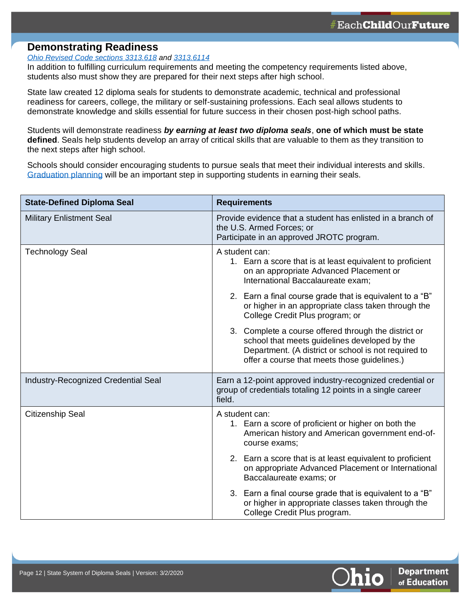## <span id="page-11-0"></span>**Demonstrating Readiness**

**12**

### *[Ohio Revised Code sections 3313.618](http://codes.ohio.gov/orc/3313.618) and [3313.6114](http://codes.ohio.gov/orc/3313.6114)*

In addition to fulfilling curriculum requirements and meeting the competency requirements listed above, students also must show they are prepared for their next steps after high school.

State law created 12 diploma seals for students to demonstrate academic, technical and professional readiness for careers, college, the military or self-sustaining professions. Each seal allows students to demonstrate knowledge and skills essential for future success in their chosen post-high school paths.

Students will demonstrate readiness *by earning at least two diploma seals*, **one of which must be state defined**. Seals help students develop an array of critical skills that are valuable to them as they transition to the next steps after high school.

Schools should consider encouraging students to pursue seals that meet their individual interests and skills. [Graduation planning](http://education.ohio.gov/Topics/Ohio-s-Graduation-Requirements/Graduation-Plans-and-Policies-for-Identifying-Stud) will be an important step in supporting students in earning their seals.

| <b>State-Defined Diploma Seal</b>          | <b>Requirements</b>                                                                                                                                                                                                                                                                                                                                                                                                                                                                                                                |
|--------------------------------------------|------------------------------------------------------------------------------------------------------------------------------------------------------------------------------------------------------------------------------------------------------------------------------------------------------------------------------------------------------------------------------------------------------------------------------------------------------------------------------------------------------------------------------------|
| <b>Military Enlistment Seal</b>            | Provide evidence that a student has enlisted in a branch of<br>the U.S. Armed Forces; or<br>Participate in an approved JROTC program.                                                                                                                                                                                                                                                                                                                                                                                              |
| <b>Technology Seal</b>                     | A student can:<br>1. Earn a score that is at least equivalent to proficient<br>on an appropriate Advanced Placement or<br>International Baccalaureate exam;<br>2. Earn a final course grade that is equivalent to a "B"<br>or higher in an appropriate class taken through the<br>College Credit Plus program; or<br>3. Complete a course offered through the district or<br>school that meets guidelines developed by the<br>Department. (A district or school is not required to<br>offer a course that meets those guidelines.) |
| <b>Industry-Recognized Credential Seal</b> | Earn a 12-point approved industry-recognized credential or<br>group of credentials totaling 12 points in a single career<br>field.                                                                                                                                                                                                                                                                                                                                                                                                 |
| <b>Citizenship Seal</b>                    | A student can:<br>1. Earn a score of proficient or higher on both the<br>American history and American government end-of-<br>course exams;<br>2. Earn a score that is at least equivalent to proficient                                                                                                                                                                                                                                                                                                                            |
|                                            | on appropriate Advanced Placement or International<br>Baccalaureate exams; or                                                                                                                                                                                                                                                                                                                                                                                                                                                      |
|                                            | 3. Earn a final course grade that is equivalent to a "B"<br>or higher in appropriate classes taken through the<br>College Credit Plus program.                                                                                                                                                                                                                                                                                                                                                                                     |

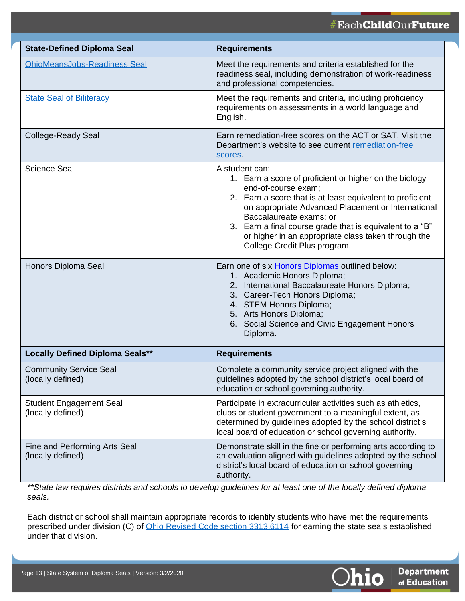## #EachChildOurFuture

| <b>State-Defined Diploma Seal</b>                   | <b>Requirements</b>                                                                                                                                                                                                                                                                                                                                                                              |
|-----------------------------------------------------|--------------------------------------------------------------------------------------------------------------------------------------------------------------------------------------------------------------------------------------------------------------------------------------------------------------------------------------------------------------------------------------------------|
| <b>OhioMeansJobs-Readiness Seal</b>                 | Meet the requirements and criteria established for the<br>readiness seal, including demonstration of work-readiness<br>and professional competencies.                                                                                                                                                                                                                                            |
| <b>State Seal of Biliteracy</b>                     | Meet the requirements and criteria, including proficiency<br>requirements on assessments in a world language and<br>English.                                                                                                                                                                                                                                                                     |
| <b>College-Ready Seal</b>                           | Earn remediation-free scores on the ACT or SAT. Visit the<br>Department's website to see current remediation-free<br>scores.                                                                                                                                                                                                                                                                     |
| <b>Science Seal</b>                                 | A student can:<br>1. Earn a score of proficient or higher on the biology<br>end-of-course exam;<br>2. Earn a score that is at least equivalent to proficient<br>on appropriate Advanced Placement or International<br>Baccalaureate exams; or<br>3. Earn a final course grade that is equivalent to a "B"<br>or higher in an appropriate class taken through the<br>College Credit Plus program. |
| Honors Diploma Seal                                 | Earn one of six Honors Diplomas outlined below:<br>1. Academic Honors Diploma;<br>2. International Baccalaureate Honors Diploma;<br>3. Career-Tech Honors Diploma;<br>4. STEM Honors Diploma;<br>5. Arts Honors Diploma;<br>6. Social Science and Civic Engagement Honors<br>Diploma.                                                                                                            |
| <b>Locally Defined Diploma Seals**</b>              | <b>Requirements</b>                                                                                                                                                                                                                                                                                                                                                                              |
| <b>Community Service Seal</b><br>(locally defined)  | Complete a community service project aligned with the<br>guidelines adopted by the school district's local board of<br>education or school governing authority.                                                                                                                                                                                                                                  |
| <b>Student Engagement Seal</b><br>(locally defined) | Participate in extracurricular activities such as athletics,<br>clubs or student government to a meaningful extent, as<br>determined by guidelines adopted by the school district's<br>local board of education or school governing authority.                                                                                                                                                   |
| Fine and Performing Arts Seal<br>(locally defined)  | Demonstrate skill in the fine or performing arts according to<br>an evaluation aligned with guidelines adopted by the school<br>district's local board of education or school governing<br>authority.                                                                                                                                                                                            |

*\*\*State law requires districts and schools to develop guidelines for at least one of the locally defined diploma seals.*

Each district or school shall maintain appropriate records to identify students who have met the requirements prescribed under division (C) of [Ohio Revised Code section 3313.6114](http://codes.ohio.gov/orc/3313.6114) for earning the state seals established under that division.



**13**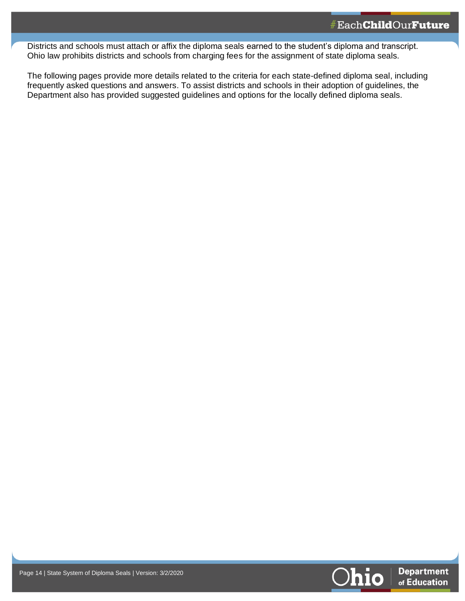Districts and schools must attach or affix the diploma seals earned to the student's diploma and transcript. Ohio law prohibits districts and schools from charging fees for the assignment of state diploma seals.

The following pages provide more details related to the criteria for each state-defined diploma seal, including frequently asked questions and answers. To assist districts and schools in their adoption of guidelines, the Department also has provided suggested guidelines and options for the locally defined diploma seals.



**14**

**14**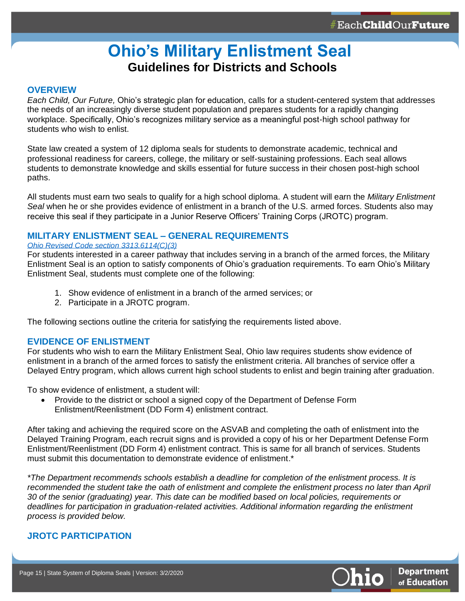## **Ohio's Military Enlistment Seal Guidelines for Districts and Schools**

#### <span id="page-14-0"></span>**OVERVIEW**

**15**

*Each Child, Our Future,* Ohio's strategic plan for education, calls for a student-centered system that addresses the needs of an increasingly diverse student population and prepares students for a rapidly changing workplace. Specifically, Ohio's recognizes military service as a meaningful post-high school pathway for students who wish to enlist.

State law created a system of 12 diploma seals for students to demonstrate academic, technical and professional readiness for careers, college, the military or self-sustaining professions. Each seal allows students to demonstrate knowledge and skills essential for future success in their chosen post-high school paths.

All students must earn two seals to qualify for a high school diploma. A student will earn the *Military Enlistment Seal* when he or she provides evidence of enlistment in a branch of the U.S. armed forces. Students also may receive this seal if they participate in a Junior Reserve Officers' Training Corps (JROTC) program.

#### **MILITARY ENLISTMENT SEAL – GENERAL REQUIREMENTS**

#### *[Ohio Revised Code section 3313.6114\(C\)\(3\)](http://codes.ohio.gov/orc/3313.6114)*

For students interested in a career pathway that includes serving in a branch of the armed forces, the Military Enlistment Seal is an option to satisfy components of Ohio's graduation requirements. To earn Ohio's Military Enlistment Seal, students must complete one of the following:

- 1. Show evidence of enlistment in a branch of the armed services; or
- 2. Participate in a JROTC program.

The following sections outline the criteria for satisfying the requirements listed above.

#### **EVIDENCE OF ENLISTMENT**

For students who wish to earn the Military Enlistment Seal, Ohio law requires students show evidence of enlistment in a branch of the armed forces to satisfy the enlistment criteria. All branches of service offer a Delayed Entry program, which allows current high school students to enlist and begin training after graduation.

To show evidence of enlistment, a student will:

• Provide to the district or school a signed copy of the Department of Defense Form Enlistment/Reenlistment (DD Form 4) enlistment contract.

After taking and achieving the required score on the ASVAB and completing the oath of enlistment into the Delayed Training Program, each recruit signs and is provided a copy of his or her Department Defense Form Enlistment/Reenlistment (DD Form 4) enlistment contract. This is same for all branch of services. Students must submit this documentation to demonstrate evidence of enlistment.\*

*\*The Department recommends schools establish a deadline for completion of the enlistment process. It is*  recommended the student take the oath of enlistment and complete the enlistment process no later than April *30 of the senior (graduating) year. This date can be modified based on local policies, requirements or*  deadlines for participation in graduation-related activities. Additional information regarding the enlistment *process is provided below.*

#### **JROTC PARTICIPATION**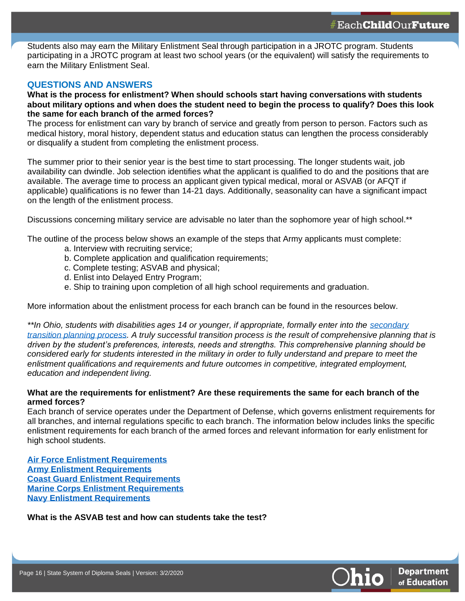Students also may earn the Military Enlistment Seal through participation in a JROTC program. Students participating in a JROTC program at least two school years (or the equivalent) will satisfy the requirements to earn the Military Enlistment Seal.

### **QUESTIONS AND ANSWERS**

**16**

**What is the process for enlistment? When should schools start having conversations with students about military options and when does the student need to begin the process to qualify? Does this look the same for each branch of the armed forces?**

The process for enlistment can vary by branch of service and greatly from person to person. Factors such as medical history, moral history, dependent status and education status can lengthen the process considerably or disqualify a student from completing the enlistment process.

The summer prior to their senior year is the best time to start processing. The longer students wait, job availability can dwindle. Job selection identifies what the applicant is qualified to do and the positions that are available. The average time to process an applicant given typical medical, moral or ASVAB (or AFQT if applicable) qualifications is no fewer than 14-21 days. Additionally, seasonality can have a significant impact on the length of the enlistment process.

Discussions concerning military service are advisable no later than the sophomore year of high school.\*\*

The outline of the process below shows an example of the steps that Army applicants must complete:

- a. Interview with recruiting service;
- b. Complete application and qualification requirements;
- c. Complete testing; ASVAB and physical;
- d. Enlist into Delayed Entry Program;
- e. Ship to training upon completion of all high school requirements and graduation.

More information about the enlistment process for each branch can be found in the resources below.

*\*\*In Ohio, students with disabilities ages 14 or younger, if appropriate, formally enter into the [secondary](http://education.ohio.gov/Topics/Special-Education/Federal-and-State-Requirements/Secondary-Transition-and-Workforce-Development)  [transition planning process.](http://education.ohio.gov/Topics/Special-Education/Federal-and-State-Requirements/Secondary-Transition-and-Workforce-Development) A truly successful transition process is the result of comprehensive planning that is driven by the student's preferences, interests, needs and strengths. This comprehensive planning should be considered early for students interested in the military in order to fully understand and prepare to meet the enlistment qualifications and requirements and future outcomes in competitive, integrated employment, education and independent living.*

#### **What are the requirements for enlistment? Are these requirements the same for each branch of the armed forces?**

Each branch of service operates under the Department of Defense, which governs enlistment requirements for all branches, and internal regulations specific to each branch. The information below includes links the specific enlistment requirements for each branch of the armed forces and relevant information for early enlistment for high school students.

**Air [Force Enlistment Requirements](https://www.airforce.com/how-to-join/prepare-for-success/meet-requirements) [Army Enlistment Requirements](https://www.goarmy.com/learn/army-requirements-and-qualifications.html) [Coast Guard Enlistment Requirements](https://www.gocoastguard.com/faq/what-are-the-qualifications-to-join-the-coast-guard) [Marine Corps Enlistment Requirements](https://www.marines.com/becoming-a-marine/enlisted.html) [Navy Enlistment Requirements](https://www.military.com/join-armed-forces/navy-recruiting-faqs.html#quals)**

**What is the ASVAB test and how can students take the test?**

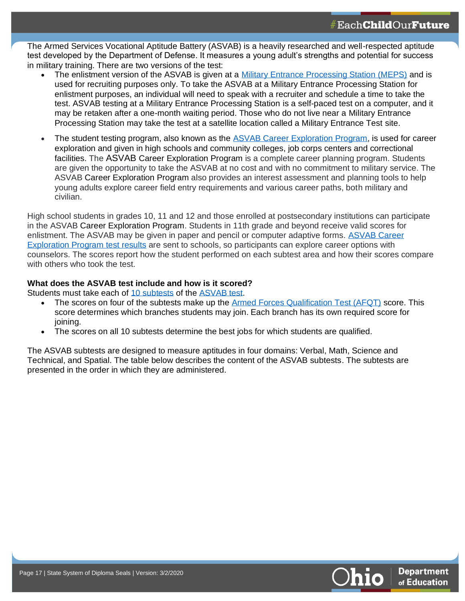The Armed Services Vocational Aptitude Battery (ASVAB) is a heavily researched and well-respected aptitude test developed by the Department of Defense. It measures a young adult's strengths and potential for success in military training. There are two versions of the test:

- The enlistment version of the ASVAB is given at a [Military Entrance Processing Station \(MEPS\)](https://www.military.com/join-armed-forces/meps-process-requirements.html) and is used for recruiting purposes only. To take the ASVAB at a Military Entrance Processing Station for enlistment purposes, an individual will need to speak with a recruiter and schedule a time to take the test. ASVAB testing at a Military Entrance Processing Station is a self-paced test on a computer, and it may be retaken after a one-month waiting period. Those who do not live near a Military Entrance Processing Station may take the test at a satellite location called a Military Entrance Test site.
- The student testing program, also known as the [ASVAB Career Exploration Program,](http://asvabprogram.com/) is used for career exploration and given in high schools and community colleges, job corps centers and correctional facilities. The ASVAB Career Exploration Program is a complete career planning program. Students are given the opportunity to take the ASVAB at no cost and with no commitment to military service. The ASVAB Career Exploration Program also provides an interest assessment and planning tools to help young adults explore career field entry requirements and various career paths, both military and civilian.

High school students in grades 10, 11 and 12 and those enrolled at postsecondary institutions can participate in the ASVAB Career Exploration Program. Students in 11th grade and beyond receive valid scores for enlistment. The ASVAB may be given in paper and pencil or computer adaptive forms. ASVAB Career [Exploration Program](https://asvabprogram.com/media-center-article/28) test results are sent to schools, so participants can explore career options with counselors. The scores report how the student performed on each subtest area and how their scores compare with others who took the test.

#### **What does the ASVAB test include and how is it scored?**

Students must take each of [10 subtests](http://official-asvab.com/subtests_app.htm) of the [ASVAB test.](https://www.todaysmilitary.com/how-to-join/asvab-test)

**17**

- The scores on four of the subtests make up the [Armed Forces Qualification Test \(AFQT\)](http://official-asvab.com/eligibility_app.htm) score. This score determines which branches students may join. Each branch has its own required score for joining.
- The scores on all 10 subtests determine the best jobs for which students are qualified.

The ASVAB subtests are designed to measure aptitudes in four domains: Verbal, Math, Science and Technical, and Spatial. The table below describes the content of the ASVAB subtests. The subtests are presented in the order in which they are administered.

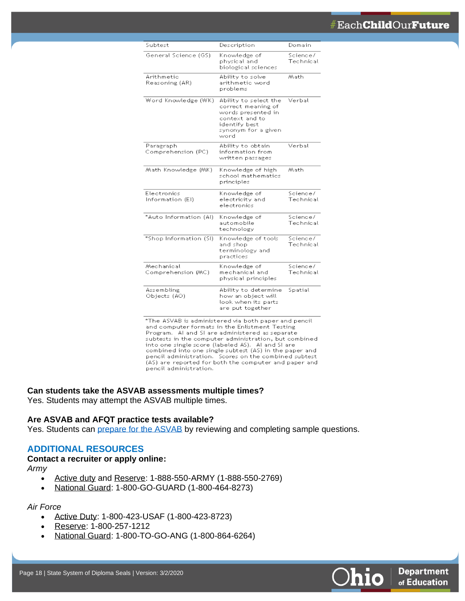## #Each**Child**Our**Future**

| Subtest                          | Description                                                                                                                         | Domain                |
|----------------------------------|-------------------------------------------------------------------------------------------------------------------------------------|-----------------------|
| General Science (GS)             | Knowledge of<br>physical and<br>biological sciences                                                                                 | Science/<br>Technical |
| Arithmetic<br>Reasoning (AR)     | Ability to solve<br>arithmetic word<br>problems                                                                                     | Math.                 |
| Word Knowledge (WK)              | Ability to select the<br>correct meaning of<br>words presented in<br>context and to<br>identify best<br>synonym for a given<br>word | Verbal                |
| Paragraph<br>Comprehension (PC)  | Ability to obtain<br>information from<br>written passages                                                                           | Verbal                |
| Math Knowledge (MK)              | Knowledge of high<br>school mathematics<br>principles                                                                               | Math                  |
| Electronics<br>Information (EI)  | Knowledge of<br>electricity and<br>electronics                                                                                      | Science/<br>Technical |
| *Auto Information (Al)           | Knowledge of<br>automobile<br>technology                                                                                            | Science/<br>Technical |
| *Shop Information (SI)           | Knowledge of tools<br>and shop<br>terminology and<br>practices                                                                      | Science/<br>Technical |
| Mechanical<br>Comprehension (MC) | Knowledge of<br>mechanical and<br>physical principles                                                                               | Science/<br>Technical |
| Assembling<br>Objects (AO)       | Ability to determine<br>how an object will<br>look when its parts<br>are put together                                               | Spatial               |

\*The ASVAB is administered via both paper and pencil and computer formats in the Enlistment Testing. Program. Al and SI are administered as separate subtests in the computer administration, but combined into one single score (labeled AS). Al and SI are combined into one single subtest (AS) in the paper and pencil administration. Scores on the combined subtest (AS) are reported for both the computer and paper and pencil administration.

#### **Can students take the ASVAB assessments multiple times?**

Yes. Students may attempt the ASVAB multiple times.

#### **Are ASVAB and AFQT practice tests available?**

Yes. Students can [prepare for the ASVAB](http://officialasvab.com/samples_app.htm) by reviewing and completing sample questions.

#### **ADDITIONAL RESOURCES**

#### **Contact a recruiter or apply online:**

*Army*

**18**

- [Active duty](https://www.goarmy.com/) and [Reserve:](https://www.goarmy.com/reserve.html) 1-888-550-ARMY (1-888-550-2769)
- [National Guard:](https://www.goarmy.com/reserve.html) 1-800-GO-GUARD (1-800-464-8273)

#### *Air Force*

- [Active Duty:](https://www.airforce.com/) 1-800-423-USAF (1-800-423-8723)
- [Reserve:](https://afreserve.com/) 1-800-257-1212
- [National Guard:](https://www.goang.com/) 1-800-TO-GO-ANG (1-800-864-6264)

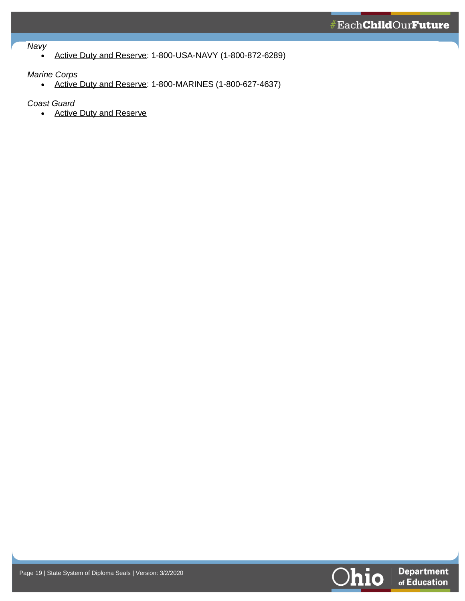#### *Navy*

**19**

• [Active Duty and Reserve:](https://www.navy.com/) 1-800-USA-NAVY (1-800-872-6289)

#### *Marine Corps*

• [Active Duty and Reserve:](https://www.marines.com/home) 1-800-MARINES (1-800-627-4637)

*Coast Guard*

• [Active Duty and Reserve](https://www.gocoastguard.com/)

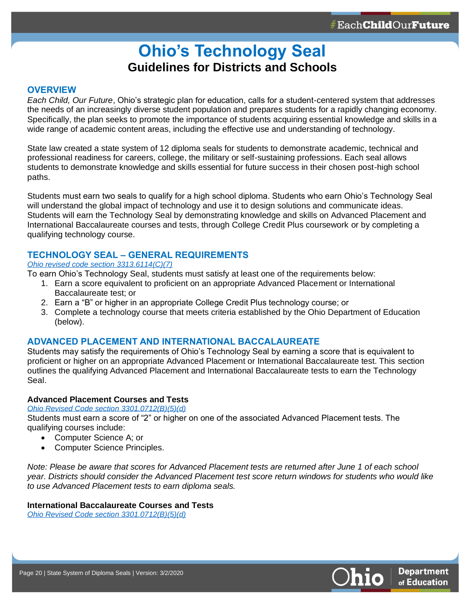## **Ohio's Technology Seal Guidelines for Districts and Schools**

#### <span id="page-19-0"></span>**OVERVIEW**

**20**

*Each Child, Our Future*, Ohio's strategic plan for education, calls for a student-centered system that addresses the needs of an increasingly diverse student population and prepares students for a rapidly changing economy. Specifically, the plan seeks to promote the importance of students acquiring essential knowledge and skills in a wide range of academic content areas, including the effective use and understanding of technology.

State law created a state system of 12 diploma seals for students to demonstrate academic, technical and professional readiness for careers, college, the military or self-sustaining professions. Each seal allows students to demonstrate knowledge and skills essential for future success in their chosen post-high school paths.

Students must earn two seals to qualify for a high school diploma. Students who earn Ohio's Technology Seal will understand the global impact of technology and use it to design solutions and communicate ideas. Students will earn the Technology Seal by demonstrating knowledge and skills on Advanced Placement and International Baccalaureate courses and tests, through College Credit Plus coursework or by completing a qualifying technology course.

### **TECHNOLOGY SEAL – GENERAL REQUIREMENTS**

#### *[Ohio revised code section 3313.6114\(C\)\(7\)](http://codes.ohio.gov/orc/3313.6114)*

To earn Ohio's Technology Seal, students must satisfy at least one of the requirements below:

- 1. Earn a score equivalent to proficient on an appropriate Advanced Placement or International Baccalaureate test; or
- 2. Earn a "B" or higher in an appropriate College Credit Plus technology course; or
- 3. Complete a technology course that meets criteria established by the Ohio Department of Education (below).

#### **ADVANCED PLACEMENT AND INTERNATIONAL BACCALAUREATE**

Students may satisfy the requirements of Ohio's Technology Seal by earning a score that is equivalent to proficient or higher on an appropriate Advanced Placement or International Baccalaureate test. This section outlines the qualifying Advanced Placement and International Baccalaureate tests to earn the Technology Seal.

#### **Advanced Placement Courses and Tests**

#### *[Ohio Revised Code section 3301.0712\(B\)\(5\)\(d\)](http://codes.ohio.gov/orc/3301.0712)*

Students must earn a score of "2" or higher on one of the associated Advanced Placement tests. The qualifying courses include:

- Computer Science A; or
- Computer Science Principles.

*Note: Please be aware that scores for Advanced Placement tests are returned after June 1 of each school year. Districts should consider the Advanced Placement test score return windows for students who would like to use Advanced Placement tests to earn diploma seals.*

#### **International Baccalaureate Courses and Tests**

*[Ohio Revised Code section 3301.0712\(B\)\(5\)\(d\)](http://codes.ohio.gov/orc/3301.0712)*

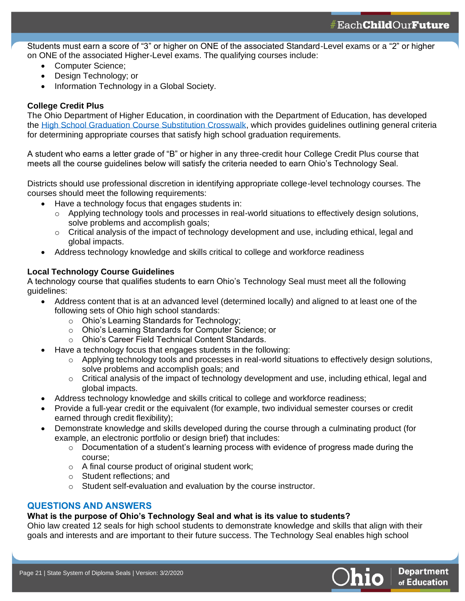Students must earn a score of "3" or higher on ONE of the associated Standard-Level exams or a "2" or higher on ONE of the associated Higher-Level exams. The qualifying courses include:

- Computer Science:
- Design Technology; or
- Information Technology in a Global Society.

#### **College Credit Plus**

**21**

The Ohio Department of Higher Education, in coordination with the Department of Education, has developed the [High School Graduation Course Substitution Crosswalk,](https://www.ohiohighered.org/sites/ohiohighered.org/files/uploads/CCP/CCP_Course-Substitution-Crosswalk_May2017.pdf) which provides guidelines outlining general criteria for determining appropriate courses that satisfy high school graduation requirements.

A student who earns a letter grade of "B" or higher in any three-credit hour College Credit Plus course that meets all the course guidelines below will satisfy the criteria needed to earn Ohio's Technology Seal.

Districts should use professional discretion in identifying appropriate college-level technology courses. The courses should meet the following requirements:

- Have a technology focus that engages students in:
	- o Applying technology tools and processes in real-world situations to effectively design solutions, solve problems and accomplish goals;
	- $\circ$  Critical analysis of the impact of technology development and use, including ethical, legal and global impacts.
- Address technology knowledge and skills critical to college and workforce readiness

#### **Local Technology Course Guidelines**

A technology course that qualifies students to earn Ohio's Technology Seal must meet all the following guidelines:

- Address content that is at an advanced level (determined locally) and aligned to at least one of the following sets of Ohio high school standards:
	- o Ohio's Learning Standards for Technology;
	- o Ohio's Learning Standards for Computer Science; or
	- o Ohio's Career Field Technical Content Standards.
- Have a technology focus that engages students in the following:
	- $\circ$  Applying technology tools and processes in real-world situations to effectively design solutions, solve problems and accomplish goals; and
	- $\circ$  Critical analysis of the impact of technology development and use, including ethical, legal and global impacts.
- Address technology knowledge and skills critical to college and workforce readiness;
- Provide a full-year credit or the equivalent (for example, two individual semester courses or credit earned through credit flexibility);
- Demonstrate knowledge and skills developed during the course through a culminating product (for example, an electronic portfolio or design brief) that includes:
	- $\circ$  Documentation of a student's learning process with evidence of progress made during the course;
	- o A final course product of original student work;
	- o Student reflections; and
	- o Student self-evaluation and evaluation by the course instructor.

#### **QUESTIONS AND ANSWERS**

#### **What is the purpose of Ohio's Technology Seal and what is its value to students?**

Ohio law created 12 seals for high school students to demonstrate knowledge and skills that align with their goals and interests and are important to their future success. The Technology Seal enables high school

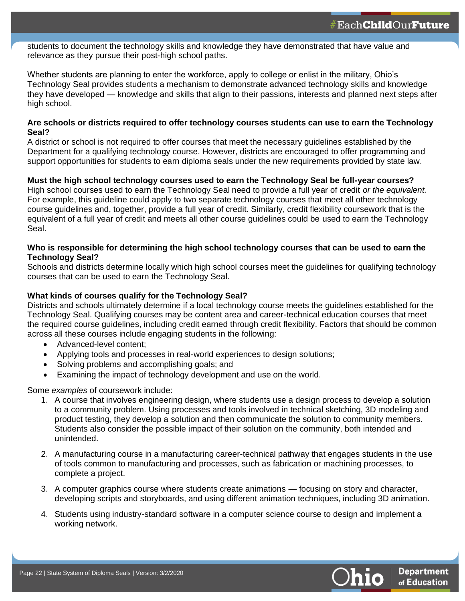students to document the technology skills and knowledge they have demonstrated that have value and relevance as they pursue their post-high school paths.

Whether students are planning to enter the workforce, apply to college or enlist in the military, Ohio's Technology Seal provides students a mechanism to demonstrate advanced technology skills and knowledge they have developed — knowledge and skills that align to their passions, interests and planned next steps after high school.

#### **Are schools or districts required to offer technology courses students can use to earn the Technology Seal?**

A district or school is not required to offer courses that meet the necessary guidelines established by the Department for a qualifying technology course. However, districts are encouraged to offer programming and support opportunities for students to earn diploma seals under the new requirements provided by state law.

#### **Must the high school technology courses used to earn the Technology Seal be full-year courses?**

High school courses used to earn the Technology Seal need to provide a full year of credit *or the equivalent.*  For example, this guideline could apply to two separate technology courses that meet all other technology course guidelines and, together, provide a full year of credit. Similarly, credit flexibility coursework that is the equivalent of a full year of credit and meets all other course guidelines could be used to earn the Technology Seal.

#### **Who is responsible for determining the high school technology courses that can be used to earn the Technology Seal?**

Schools and districts determine locally which high school courses meet the guidelines for qualifying technology courses that can be used to earn the Technology Seal.

#### **What kinds of courses qualify for the Technology Seal?**

Districts and schools ultimately determine if a local technology course meets the guidelines established for the Technology Seal. Qualifying courses may be content area and career-technical education courses that meet the required course guidelines, including credit earned through credit flexibility. Factors that should be common across all these courses include engaging students in the following:

• Advanced-level content;

**22**

- Applying tools and processes in real-world experiences to design solutions;
- Solving problems and accomplishing goals; and
- Examining the impact of technology development and use on the world.

Some *examples* of coursework include:

- 1. A course that involves engineering design, where students use a design process to develop a solution to a community problem. Using processes and tools involved in technical sketching, 3D modeling and product testing, they develop a solution and then communicate the solution to community members. Students also consider the possible impact of their solution on the community, both intended and unintended.
- 2. A manufacturing course in a manufacturing career-technical pathway that engages students in the use of tools common to manufacturing and processes, such as fabrication or machining processes, to complete a project.
- 3. A computer graphics course where students create animations focusing on story and character, developing scripts and storyboards, and using different animation techniques, including 3D animation.
- 4. Students using industry-standard software in a computer science course to design and implement a working network.

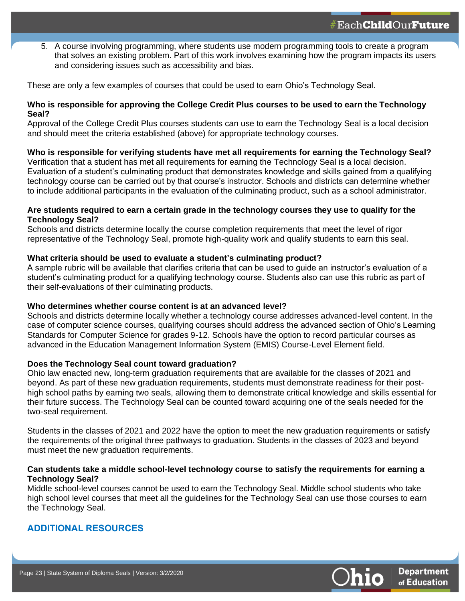5. A course involving programming, where students use modern programming tools to create a program that solves an existing problem. Part of this work involves examining how the program impacts its users and considering issues such as accessibility and bias.

These are only a few examples of courses that could be used to earn Ohio's Technology Seal.

#### **Who is responsible for approving the College Credit Plus courses to be used to earn the Technology Seal?**

Approval of the College Credit Plus courses students can use to earn the Technology Seal is a local decision and should meet the criteria established (above) for appropriate technology courses.

#### **Who is responsible for verifying students have met all requirements for earning the Technology Seal?**

Verification that a student has met all requirements for earning the Technology Seal is a local decision. Evaluation of a student's culminating product that demonstrates knowledge and skills gained from a qualifying technology course can be carried out by that course's instructor. Schools and districts can determine whether to include additional participants in the evaluation of the culminating product, such as a school administrator.

#### **Are students required to earn a certain grade in the technology courses they use to qualify for the Technology Seal?**

Schools and districts determine locally the course completion requirements that meet the level of rigor representative of the Technology Seal, promote high-quality work and qualify students to earn this seal.

#### **What criteria should be used to evaluate a student's culminating product?**

A sample rubric will be available that clarifies criteria that can be used to guide an instructor's evaluation of a student's culminating product for a qualifying technology course. Students also can use this rubric as part of their self-evaluations of their culminating products.

#### **Who determines whether course content is at an advanced level?**

Schools and districts determine locally whether a technology course addresses advanced-level content. In the case of computer science courses, qualifying courses should address the advanced section of Ohio's Learning Standards for Computer Science for grades 9-12. Schools have the option to record particular courses as advanced in the Education Management Information System (EMIS) Course-Level Element field.

#### **Does the Technology Seal count toward graduation?**

Ohio law enacted new, long-term graduation requirements that are available for the classes of 2021 and beyond. As part of these new graduation requirements, students must demonstrate readiness for their posthigh school paths by earning two seals, allowing them to demonstrate critical knowledge and skills essential for their future success. The Technology Seal can be counted toward acquiring one of the seals needed for the two-seal requirement.

Students in the classes of 2021 and 2022 have the option to meet the new graduation requirements or satisfy the requirements of the original three pathways to graduation. Students in the classes of 2023 and beyond must meet the new graduation requirements.

#### **Can students take a middle school-level technology course to satisfy the requirements for earning a Technology Seal?**

Middle school-level courses cannot be used to earn the Technology Seal. Middle school students who take high school level courses that meet all the guidelines for the Technology Seal can use those courses to earn the Technology Seal.

#### **ADDITIONAL RESOURCES**

**23**

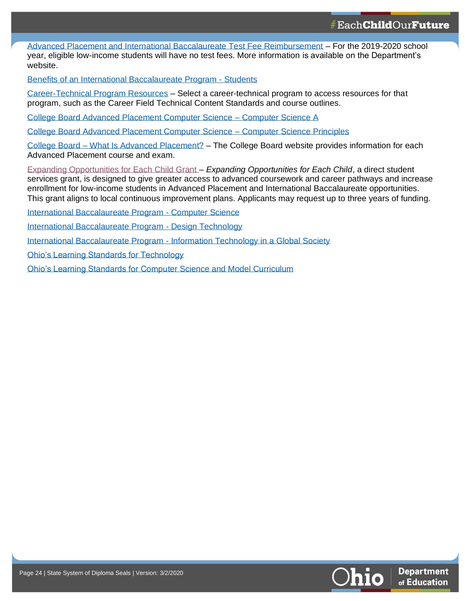[Advanced Placement and International Baccalaureate Test Fee Reimbursement](http://education.ohio.gov/Topics/Learning-in-Ohio/Advanced-Placement-and-International-Baccalaureate) – For the 2019-2020 school year, eligible low-income students will have no test fees. More information is available on the Department's website.

[Benefits of an International Baccalaureate Program -](https://www.ibo.org/benefits/benefits-for-students/) Students

[Career-Technical Program Resources](http://education.ohio.gov/Topics/Career-Tech) – Select a career-technical program to access resources for that program, such as the Career Field Technical Content Standards and course outlines.

[College Board Advanced Placement Computer Science –](https://apstudents.collegeboard.org/courses/ap-computer-science-a/assessment) Computer Science A

[College Board Advanced Placement Computer Science –](https://apstudents.collegeboard.org/courses/ap-computer-science-principles/assessment) Computer Science Principles

College Board – [What Is Advanced Placement?](https://apstudents.collegeboard.org/what-is-ap) – The College Board website provides information for each Advanced Placement course and exam.

[Expanding Opportunities for Each Child Grant](http://education.ohio.gov/Topics/District-and-School-Continuous-Improvement/Expanding-Opportunities-for-Each-Child-EOEC-A) – *Expanding Opportunities for Each Child*, a direct student services grant, is designed to give greater access to advanced coursework and career pathways and increase enrollment for low-income students in Advanced Placement and International Baccalaureate opportunities. This grant aligns to local continuous improvement plans. Applicants may request up to three years of funding.

[International Baccalaureate Program -](https://www.ibo.org/programmes/diploma-programme/curriculum/sciences/computer-science/) Computer Science

[International Baccalaureate Program -](https://www.ibo.org/programmes/diploma-programme/curriculum/sciences/design-technology/) Design Technology

International Baccalaureate Program - [Information Technology in a Global Society](https://www.ibo.org/programmes/diploma-programme/curriculum/individuals-and-societies/information-technology-in-a-global-society/)

[Ohio's Learning Standards for Technology](http://education.ohio.gov/Topics/Learning-in-Ohio/Technology/Ohios-Learning-Standards-for-Technology)

**24**

[Ohio's Learning Standards for Computer Science and Model Curriculum](http://education.ohio.gov/getattachment/Topics/Learning-in-Ohio/Computer-Science/Model-Curricula-in-Computer-Science/ComputerScienceMC_Gr9-12.pdf.aspx?lang=en-US)

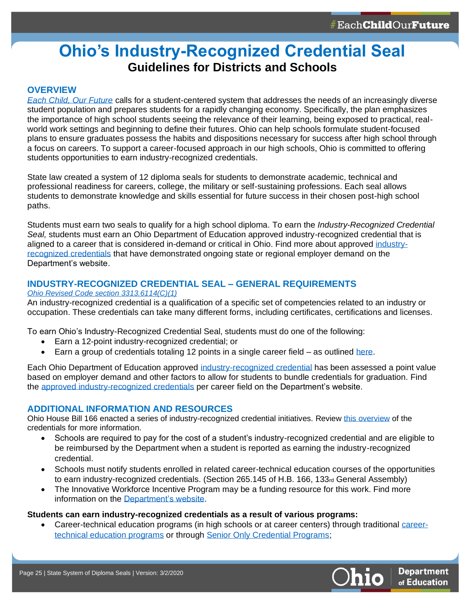## <span id="page-24-0"></span>**Ohio's Industry-Recognized Credential Seal Guidelines for Districts and Schools**

#### **OVERVIEW**

**25**

*[Each Child, Our Future](http://education.ohio.gov/About/EachChildOurFuture)* calls for a student-centered system that addresses the needs of an increasingly diverse student population and prepares students for a rapidly changing economy. Specifically, the plan emphasizes the importance of high school students seeing the relevance of their learning, being exposed to practical, realworld work settings and beginning to define their futures. Ohio can help schools formulate student-focused plans to ensure graduates possess the habits and dispositions necessary for success after high school through a focus on careers. To support a career-focused approach in our high schools, Ohio is committed to offering students opportunities to earn industry-recognized credentials.

State law created a system of 12 diploma seals for students to demonstrate academic, technical and professional readiness for careers, college, the military or self-sustaining professions. Each seal allows students to demonstrate knowledge and skills essential for future success in their chosen post-high school paths.

Students must earn two seals to qualify for a high school diploma. To earn the *Industry-Recognized Credential Seal,* students must earn an Ohio Department of Education approved industry-recognized credential that is aligned to a career that is considered in-demand or critical in Ohio. Find more about approved [industry](http://education.ohio.gov/Topics/Ohio-s-Graduation-Requirements/Industry-Recognized-Credentials/Industry-Recognized-Credentials-by-Career-Field)[recognized credentials](http://education.ohio.gov/Topics/Ohio-s-Graduation-Requirements/Industry-Recognized-Credentials/Industry-Recognized-Credentials-by-Career-Field) that have demonstrated ongoing state or regional employer demand on the Department's website.

#### **INDUSTRY-RECOGNIZED CREDENTIAL SEAL – GENERAL REQUIREMENTS**

#### *[Ohio Revised Code section 3313.6114\(C\)\(1\)](http://codes.ohio.gov/orc/3313.6114)*

An industry-recognized credential is a qualification of a specific set of competencies related to an industry or occupation. These credentials can take many different forms, including certificates, certifications and licenses.

To earn Ohio's Industry-Recognized Credential Seal, students must do one of the following:

- Earn a 12-point industry-recognized credential; or
- Earn a group of credentials totaling 12 points in a single career field  $-$  as outlined [here.](http://education.ohio.gov/Topics/Ohio-s-Graduation-Requirements/Industry-Recognized-Credentials/Industry-Recognized-Credentials-by-Career-Field)

Each Ohio Department of Education approved [industry-recognized credential](http://education.ohio.gov/Topics/Ohio-s-Graduation-Requirements/Industry-Recognized-Credentials-and-WorkKeys) has been assessed a point value based on employer demand and other factors to allow for students to bundle credentials for graduation. Find the [approved industry-recognized credentials](http://education.ohio.gov/Topics/Ohio-s-Graduation-Requirements/Industry-Recognized-Credentials/Industry-Recognized-Credentials-by-Career-Field) per career field on the Department's website.

#### **ADDITIONAL INFORMATION AND RESOURCES**

Ohio House Bill 166 enacted a series of industry-recognized credential initiatives. Review [this overview](http://education.ohio.gov/getattachment/Topics/Ohio-s-Graduation-Requirements/Industry-Recognized-Credentials-and-WorkKeys/ICPrelimInformation10-28_Final.pdf.aspx?lang=en-US) of the credentials for more information.

- Schools are required to pay for the cost of a student's industry-recognized credential and are eligible to be reimbursed by the Department when a student is reported as earning the industry-recognized credential.
- Schools must notify students enrolled in related career-technical education courses of the opportunities to earn industry-recognized credentials. (Section 265.145 of H.B. 166, 133<sub>rd</sub> General Assembly)
- The Innovative Workforce Incentive Program may be a funding resource for this work. Find more information on the [Department's website.](http://education.ohio.gov/Topics/Ohio-s-Graduation-Requirements/Industry-Recognized-Credentials/Innovative-Workforce-Incentive-Program)

**Students can earn industry-recognized credentials as a result of various programs:**

• Career-technical education programs (in high schools or at career centers) through traditional [career](http://education.ohio.gov/Topics/Ohio-s-Graduation-Requirements/Industry-Recognized-Credentials-and-WorkKeys/Start-a-new-career-technical-education)[technical education programs](http://education.ohio.gov/Topics/Ohio-s-Graduation-Requirements/Industry-Recognized-Credentials-and-WorkKeys/Start-a-new-career-technical-education) or through [Senior Only Credential Programs;](http://education.ohio.gov/Topics/Ohio-s-Graduation-Requirements/Industry-Recognized-Credentials-and-WorkKeys/Senior-Only-Credential-Program-for-Students/Senior-Only-Credential-Program-for-Districts-and-S)

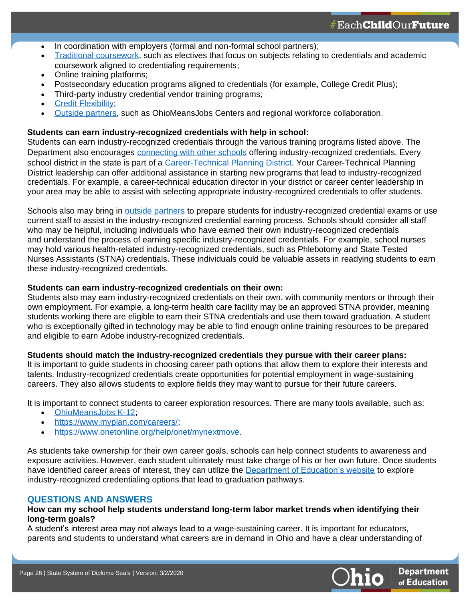- In coordination with employers (formal and non-formal school partners);
- [Traditional coursework,](http://education.ohio.gov/Topics/Ohio-s-Graduation-Requirements/Industry-Recognized-Credentials-and-WorkKeys/Integrating-Industry-Recognized-Credentials-and-Wo) such as electives that focus on subjects relating to credentials and academic coursework aligned to credentialing requirements;
- Online training platforms;
- Postsecondary education programs aligned to credentials (for example, College Credit Plus);
- Third-party industry credential vendor training programs;
- **Credit Flexibility**

**26**

• [Outside partners,](https://successbound.ohio.gov/Home/Prepare-for-Pathways#Buildyourcoalition) such as OhioMeansJobs Centers and regional workforce collaboration.

#### **Students can earn industry-recognized credentials with help in school:**

Students can earn industry-recognized credentials through the various training programs listed above. The Department also encourages [connecting with other schools](http://education.ohio.gov/Topics/Ohio-s-Graduation-Requirements/Industry-Recognized-Credentials-and-WorkKeys/Schools-Districts-that-offer-a-Credential-Program) offering industry-recognized credentials. Every school district in the state is part of a [Career-Technical Planning District.](https://ocis.org/materials/Ohio%20Career-Technical%20Schools.htm) Your Career-Technical Planning District leadership can offer additional assistance in starting new programs that lead to industry-recognized credentials. For example, a career-technical education director in your district or career center leadership in your area may be able to assist with selecting appropriate industry-recognized credentials to offer students.

Schools also may bring in [outside partners](https://successbound.ohio.gov/Home/Prepare-for-Pathways#Buildyourcoalition) to prepare students for industry-recognized credential exams or use current staff to assist in the industry-recognized credential earning process. Schools should consider all staff who may be helpful, including individuals who have earned their own industry-recognized credentials and understand the process of earning specific industry-recognized credentials. For example, school nurses may hold various health-related industry-recognized credentials, such as Phlebotomy and State Tested Nurses Assistants (STNA) credentials. These individuals could be valuable assets in readying students to earn these industry-recognized credentials.

#### **Students can earn industry-recognized credentials on their own:**

Students also may earn industry-recognized credentials on their own, with community mentors or through their own employment. For example, a long-term health care facility may be an approved STNA provider, meaning students working there are eligible to earn their STNA credentials and use them toward graduation. A student who is exceptionally gifted in technology may be able to find enough online training resources to be prepared and eligible to earn Adobe industry-recognized credentials.

#### **Students should match the industry-recognized credentials they pursue with their career plans:**

It is important to guide students in choosing career path options that allow them to explore their interests and talents. Industry-recognized credentials create opportunities for potential employment in wage-sustaining careers. They also allows students to explore fields they may want to pursue for their future careers.

It is important to connect students to career exploration resources. There are many tools available, such as:

- [OhioMeansJobs](https://jobseeker.k-12.ohiomeansjobs.monster.com/seeker.aspx) K-12:
- [https://www.myplan.com/careers/;](https://www.myplan.com/careers/)
- [https://www.onetonline.org/help/onet/mynextmove.](https://www.onetonline.org/help/onet/mynextmove)

As students take ownership for their own career goals, schools can help connect students to awareness and exposure activities. However, each student ultimately must take charge of his or her own future. Once students have identified career areas of interest, they can utilize the [Department of Education's website](http://education.ohio.gov/Topics/Ohio-s-Graduation-Requirements/Industry-Recognized-Credentials-and-WorkKeys/Industry-Recognized-Credentials) to explore industry-recognized credentialing options that lead to graduation pathways.

#### **QUESTIONS AND ANSWERS**

#### **How can my school help students understand long-term labor market trends when identifying their long-term goals?**

A student's interest area may not always lead to a wage-sustaining career. It is important for educators, parents and students to understand what careers are in demand in Ohio and have a clear understanding of

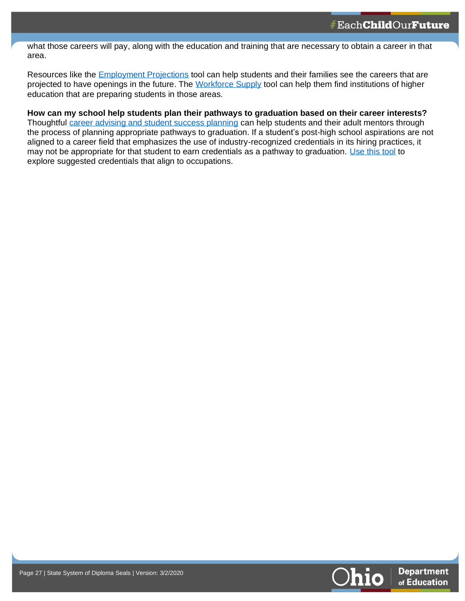what those careers will pay, along with the education and training that are necessary to obtain a career in that area.

Resources like the **[Employment Projections](https://workforcedatatools.chrr.ohio-state.edu/employmentprojections/)** tool can help students and their families see the careers that are projected to have openings in the future. The [Workforce Supply](https://workforcedatatools.chrr.ohio-state.edu/workforcesupply/) tool can help them find institutions of higher education that are preparing students in those areas.

**How can my school help students plan their pathways to graduation based on their career interests?** Thoughtful [career advising and student success planning](http://education.ohio.gov/Topics/Career-Tech/Career-Connections/Career-Advising-Policy-and-Student-Success-Plan) can help students and their adult mentors through the process of planning appropriate pathways to graduation. If a student's post-high school aspirations are not aligned to a career field that emphasizes the use of industry-recognized credentials in its hiring practices, it may not be appropriate for that student to earn credentials as a pathway to graduation. [Use this tool](https://jobseeker.k-12.ohiomeansjobs.monster.com/ExploreIt/CareerClusters.aspx) to explore suggested credentials that align to occupations.



**27**

**27**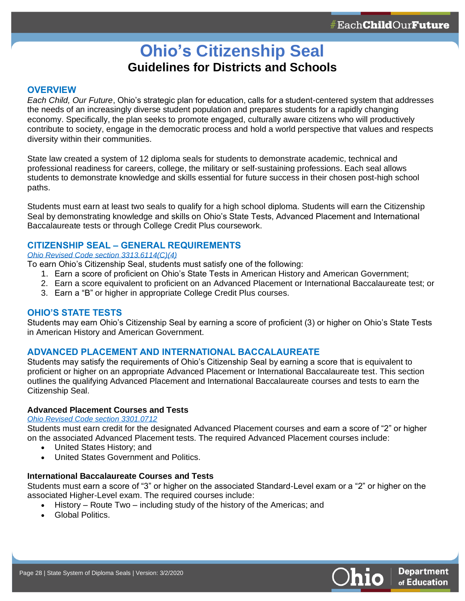## **Ohio's Citizenship Seal Guidelines for Districts and Schools**

#### **OVERVIEW**

**28**

*Each Child, Our Future*, Ohio's strategic plan for education, calls for a student-centered system that addresses the needs of an increasingly diverse student population and prepares students for a rapidly changing economy. Specifically, the plan seeks to promote engaged, culturally aware citizens who will productively contribute to society, engage in the democratic process and hold a world perspective that values and respects diversity within their communities.

State law created a system of 12 diploma seals for students to demonstrate academic, technical and professional readiness for careers, college, the military or self-sustaining professions. Each seal allows students to demonstrate knowledge and skills essential for future success in their chosen post-high school paths.

Students must earn at least two seals to qualify for a high school diploma. Students will earn the Citizenship Seal by demonstrating knowledge and skills on Ohio's State Tests, Advanced Placement and International Baccalaureate tests or through College Credit Plus coursework.

#### **CITIZENSHIP SEAL – GENERAL REQUIREMENTS**

#### *[Ohio Revised Code section 3313.6114\(C\)\(4\)](http://codes.ohio.gov/orc/3313.6114)*

To earn Ohio's Citizenship Seal, students must satisfy one of the following:

- 1. Earn a score of proficient on Ohio's State Tests in American History and American Government;
- 2. Earn a score equivalent to proficient on an Advanced Placement or International Baccalaureate test; or
- 3. Earn a "B" or higher in appropriate College Credit Plus courses.

#### **OHIO'S STATE TESTS**

Students may earn Ohio's Citizenship Seal by earning a score of proficient (3) or higher on Ohio's State Tests in American History and American Government.

#### **ADVANCED PLACEMENT AND INTERNATIONAL BACCALAUREATE**

Students may satisfy the requirements of Ohio's Citizenship Seal by earning a score that is equivalent to proficient or higher on an appropriate Advanced Placement or International Baccalaureate test. This section outlines the qualifying Advanced Placement and International Baccalaureate courses and tests to earn the Citizenship Seal.

#### **Advanced Placement Courses and Tests**

#### *[Ohio Revised Code section 3301.0712](http://codes.ohio.gov/orc/3301.0712)*

Students must earn credit for the designated Advanced Placement courses and earn a score of "2" or higher on the associated Advanced Placement tests. The required Advanced Placement courses include:

- United States History; and
	- United States Government and Politics.

#### **International Baccalaureate Courses and Tests**

Students must earn a score of "3" or higher on the associated Standard-Level exam or a "2" or higher on the associated Higher-Level exam. The required courses include:

- History Route Two including study of the history of the Americas; and
- Global Politics.

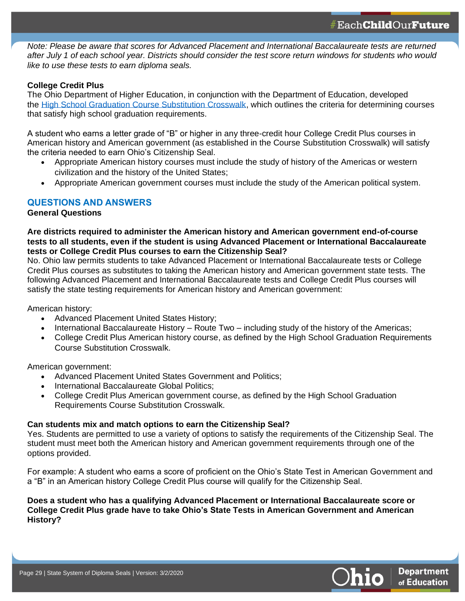*Note: Please be aware that scores for Advanced Placement and International Baccalaureate tests are returned after July 1 of each school year. Districts should consider the test score return windows for students who would like to use these tests to earn diploma seals.*

#### **College Credit Plus**

**29**

The Ohio Department of Higher Education, in conjunction with the Department of Education, developed the [High School Graduation Course Substitution Crosswalk,](https://www.ohiohighered.org/sites/ohiohighered.org/files/uploads/CCP/CCP_Course-Substitution-Crosswalk_May2017.pdf) which outlines the criteria for determining courses that satisfy high school graduation requirements.

A student who earns a letter grade of "B" or higher in any three-credit hour College Credit Plus courses in American history and American government (as established in the Course Substitution Crosswalk) will satisfy the criteria needed to earn Ohio's Citizenship Seal.

- Appropriate American history courses must include the study of history of the Americas or western civilization and the history of the United States;
- Appropriate American government courses must include the study of the American political system.

#### **QUESTIONS AND ANSWERS**

#### **General Questions**

#### **Are districts required to administer the American history and American government end-of-course tests to all students, even if the student is using Advanced Placement or International Baccalaureate tests or College Credit Plus courses to earn the Citizenship Seal?**

No. Ohio law permits students to take Advanced Placement or International Baccalaureate tests or College Credit Plus courses as substitutes to taking the American history and American government state tests. The following Advanced Placement and International Baccalaureate tests and College Credit Plus courses will satisfy the state testing requirements for American history and American government:

American history:

- Advanced Placement United States History;
- International Baccalaureate History Route Two including study of the history of the Americas;
- College Credit Plus American history course, as defined by the High School Graduation Requirements Course Substitution Crosswalk.

American government:

- Advanced Placement United States Government and Politics;
- International Baccalaureate Global Politics;
- College Credit Plus American government course, as defined by the High School Graduation Requirements Course Substitution Crosswalk.

#### **Can students mix and match options to earn the Citizenship Seal?**

Yes. Students are permitted to use a variety of options to satisfy the requirements of the Citizenship Seal. The student must meet both the American history and American government requirements through one of the options provided.

For example: A student who earns a score of proficient on the Ohio's State Test in American Government and a "B" in an American history College Credit Plus course will qualify for the Citizenship Seal.

#### **Does a student who has a qualifying Advanced Placement or International Baccalaureate score or College Credit Plus grade have to take Ohio's State Tests in American Government and American History?**

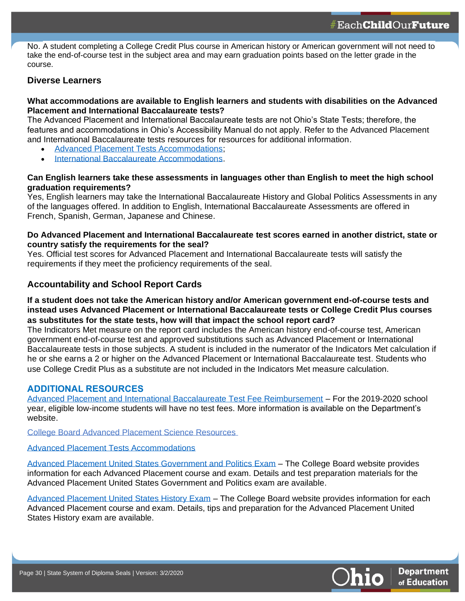No. A student completing a College Credit Plus course in American history or American government will not need to take the end-of-course test in the subject area and may earn graduation points based on the letter grade in the course.

### **Diverse Learners**

**30**

#### **What accommodations are available to English learners and students with disabilities on the Advanced Placement and International Baccalaureate tests?**

The Advanced Placement and International Baccalaureate tests are not Ohio's State Tests; therefore, the features and accommodations in Ohio's Accessibility Manual do not apply. Refer to the Advanced Placement and International Baccalaureate tests resources for resources for additional information.

- [Advanced Placement Tests Accommodations;](https://apcentral.collegeboard.org/ap-coordinators/preparing-exam-day/accommodations)
- [International Baccalaureate Accommodations.](https://www.haef.gr/~/media/Files/HAEF/IB/pdf/Info_for_parents/Candidates_with_SpecialAssessmentNeeds_2011.ashx?la=en)

#### **Can English learners take these assessments in languages other than English to meet the high school graduation requirements?**

Yes, English learners may take the International Baccalaureate History and Global Politics Assessments in any of the languages offered. In addition to English, International Baccalaureate Assessments are offered in French, Spanish, German, Japanese and Chinese.

#### **Do Advanced Placement and International Baccalaureate test scores earned in another district, state or country satisfy the requirements for the seal?**

Yes. Official test scores for Advanced Placement and International Baccalaureate tests will satisfy the requirements if they meet the proficiency requirements of the seal.

### **Accountability and School Report Cards**

#### **If a student does not take the American history and/or American government end-of-course tests and instead uses Advanced Placement or International Baccalaureate tests or College Credit Plus courses as substitutes for the state tests, how will that impact the school report card?**

The Indicators Met measure on the report card includes the American history end-of-course test, American government end-of-course test and approved substitutions such as Advanced Placement or International Baccalaureate tests in those subjects. A student is included in the numerator of the Indicators Met calculation if he or she earns a 2 or higher on the Advanced Placement or International Baccalaureate test. Students who use College Credit Plus as a substitute are not included in the Indicators Met measure calculation.

### **ADDITIONAL RESOURCES**

[Advanced Placement and International Baccalaureate Test Fee Reimbursement](http://education.ohio.gov/Topics/Learning-in-Ohio/Advanced-Placement-and-International-Baccalaureate) – For the 2019-2020 school year, eligible low-income students will have no test fees. More information is available on the Department's website.

College Board Advanced Placement Science Resources

#### [Advanced Placement Tests Accommodations](https://apcentral.collegeboard.org/ap-coordinators/preparing-exam-day/accommodations)

[Advanced Placement United States Government and Politics Exam](https://apstudents.collegeboard.org/courses/ap-united-states-government-and-politics/assessment) – The College Board website provides information for each Advanced Placement course and exam. Details and test preparation materials for the Advanced Placement United States Government and Politics exam are available.

[Advanced Placement United States History Exam](https://apstudents.collegeboard.org/courses/ap-united-states-history/assessment) – The College Board website provides information for each Advanced Placement course and exam. Details, tips and preparation for the Advanced Placement United States History exam are available.

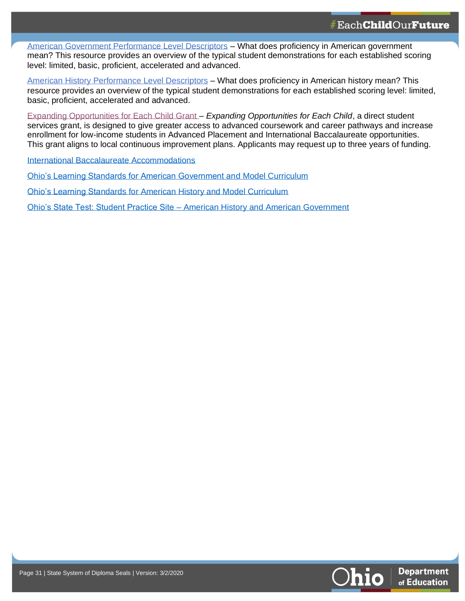[American Government Performance Level Descriptors](https://oh.portal.airast.org/core/fileparse.php/3094/urlt/OCBA_AmericanGovernment_PLDs.pdf) – What does proficiency in American government mean? This resource provides an overview of the typical student demonstrations for each established scoring level: limited, basic, proficient, accelerated and advanced.

[American History Performance Level Descriptors](https://oh.portal.airast.org/core/fileparse.php/3094/urlt/OCBA_AmericanHistory_PLDs.pdf) – What does proficiency in American history mean? This resource provides an overview of the typical student demonstrations for each established scoring level: limited, basic, proficient, accelerated and advanced.

[Expanding Opportunities for Each Child Grant](http://education.ohio.gov/Topics/District-and-School-Continuous-Improvement/Expanding-Opportunities-for-Each-Child-EOEC-A) – *Expanding Opportunities for Each Child*, a direct student services grant, is designed to give greater access to advanced coursework and career pathways and increase enrollment for low-income students in Advanced Placement and International Baccalaureate opportunities. This grant aligns to local continuous improvement plans. Applicants may request up to three years of funding.

[International Baccalaureate Accommodations](https://www.haef.gr/~/media/Files/HAEF/IB/pdf/Info_for_parents/Candidates_with_SpecialAssessmentNeeds_2011.ashx?la=en)

**31**

[Ohio's Learning Standards for American Government and Model Curriculum](http://education.ohio.gov/getattachment/Topics/Learning-in-Ohio/Social-Studies/Model-Curriculum-for-Social-Studies/High-School_American-Government_Model-Curriculum_DRAFT-September-2014.pdf.aspx?lang=en-US)

[Ohio's Learning Standards for American History and Model Curriculum](http://education.ohio.gov/getattachment/Topics/Learning-in-Ohio/Social-Studies/Model-Curriculum-for-Social-Studies/High-School_American-History_Model_Curriculum_Aug2014.pdf.aspx?lang=en-US)

Ohio's State Test: Student Practice Site – [American History and American Government](https://oh.portal.airast.org/users/students-and-families.stml)



**31**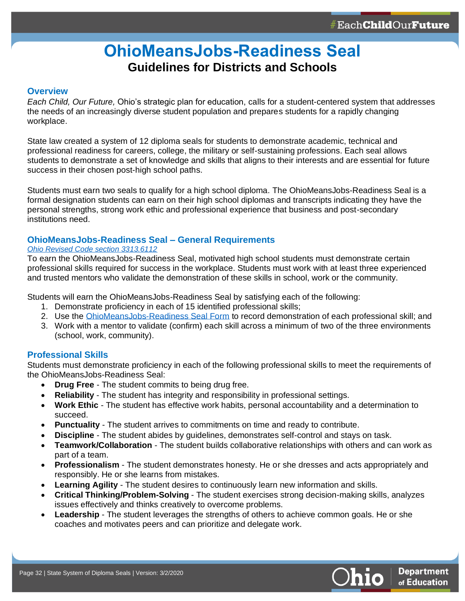## **OhioMeansJobs-Readiness Seal Guidelines for Districts and Schools**

#### <span id="page-31-0"></span>**Overview**

**32**

*Each Child, Our Future,* Ohio's strategic plan for education, calls for a student-centered system that addresses the needs of an increasingly diverse student population and prepares students for a rapidly changing workplace.

State law created a system of 12 diploma seals for students to demonstrate academic, technical and professional readiness for careers, college, the military or self-sustaining professions. Each seal allows students to demonstrate a set of knowledge and skills that aligns to their interests and are essential for future success in their chosen post-high school paths.

Students must earn two seals to qualify for a high school diploma. The OhioMeansJobs-Readiness Seal is a formal designation students can earn on their high school diplomas and transcripts indicating they have the personal strengths, strong work ethic and professional experience that business and post-secondary institutions need.

#### **OhioMeansJobs-Readiness Seal – General Requirements**

#### *[Ohio Revised Code section 3313.6112](http://codes.ohio.gov/orc/3313.6112)*

To earn the OhioMeansJobs-Readiness Seal, motivated high school students must demonstrate certain professional skills required for success in the workplace. Students must work with at least three experienced and trusted mentors who validate the demonstration of these skills in school, work or the community.

Students will earn the OhioMeansJobs-Readiness Seal by satisfying each of the following:

- 1. Demonstrate proficiency in each of 15 identified professional skills;
- 2. Use the [OhioMeansJobs-Readiness Seal Form](http://education.ohio.gov/getattachment/Topics/New-Skills-for-Youth/SuccessBound/OhioMeansJobs-Readiness-Seal/OMJ-Readiness-Seal-Validation-Form.pdf.aspx?lang=en-US) to record demonstration of each professional skill; and
- 3. Work with a mentor to validate (confirm) each skill across a minimum of two of the three environments (school, work, community).

#### **Professional Skills**

Students must demonstrate proficiency in each of the following professional skills to meet the requirements of the OhioMeansJobs-Readiness Seal:

- **Drug Free** The student commits to being drug free.
- **Reliability** The student has integrity and responsibility in professional settings.
- **Work Ethic**  The student has effective work habits, personal accountability and a determination to succeed.
- **Punctuality** The student arrives to commitments on time and ready to contribute.
- **Discipline** The student abides by guidelines, demonstrates self-control and stays on task.
- **Teamwork/Collaboration** The student builds collaborative relationships with others and can work as part of a team.
- **Professionalism**  The student demonstrates honesty. He or she dresses and acts appropriately and responsibly. He or she learns from mistakes.
- **Learning Agility**  The student desires to continuously learn new information and skills.
- **Critical Thinking/Problem-Solving** The student exercises strong decision-making skills, analyzes issues effectively and thinks creatively to overcome problems.
- **Leadership** The student leverages the strengths of others to achieve common goals. He or she coaches and motivates peers and can prioritize and delegate work.

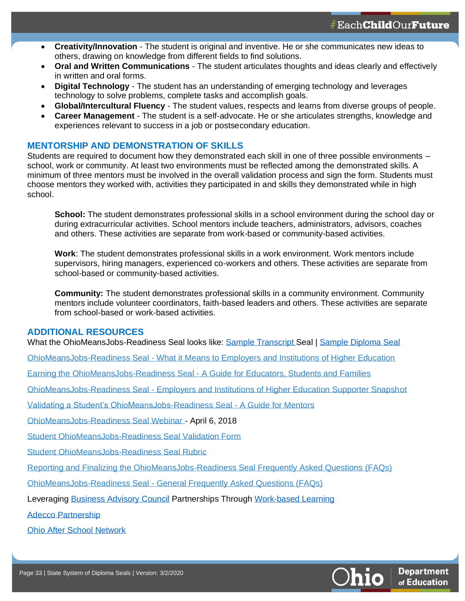- **Creativity/Innovation** The student is original and inventive. He or she communicates new ideas to others, drawing on knowledge from different fields to find solutions.
- **Oral and Written Communications** The student articulates thoughts and ideas clearly and effectively in written and oral forms.
- **Digital Technology** The student has an understanding of emerging technology and leverages technology to solve problems, complete tasks and accomplish goals.
- **Global/Intercultural Fluency** The student values, respects and learns from diverse groups of people.
- **Career Management** The student is a self-advocate. He or she articulates strengths, knowledge and experiences relevant to success in a job or postsecondary education.

#### **MENTORSHIP AND DEMONSTRATION OF SKILLS**

Students are required to document how they demonstrated each skill in one of three possible environments – school, work or community. At least two environments must be reflected among the demonstrated skills. A minimum of three mentors must be involved in the overall validation process and sign the form. Students must choose mentors they worked with, activities they participated in and skills they demonstrated while in high school.

**School:** The student demonstrates professional skills in a school environment during the school day or during extracurricular activities. School mentors include teachers, administrators, advisors, coaches and others. These activities are separate from work-based or community-based activities.

**Work**: The student demonstrates professional skills in a work environment. Work mentors include supervisors, hiring managers, experienced co-workers and others. These activities are separate from school-based or community-based activities.

**Community:** The student demonstrates professional skills in a community environment. Community mentors include volunteer coordinators, faith-based leaders and others. These activities are separate from school-based or work-based activities.

#### **ADDITIONAL RESOURCES**

**33**

What the OhioMeansJobs-Readiness Seal looks like: Sample [Transcript](http://education.ohio.gov/getattachment/Topics/New-Skills-for-Youth/SuccessBound/OhioMeansJobs-Readiness-Seal/sample-transcript.pdf.aspx?lang=en-US) Seal | [Sample Diploma Seal](http://education.ohio.gov/getattachment/Topics/New-Skills-for-Youth/SuccessBound/OhioMeansJobs-Readiness-Seal/sample-diploma.pdf.aspx?lang=en-US)

OhioMeansJobs-Readiness Seal - [What it Means to Employers and Institutions of Higher Education](http://education.ohio.gov/getattachment/Topics/New-Skills-for-Youth/SuccessBound/OhioMeansJobs-Readiness-Seal/OhioMeansJobs-Readiness-Seal-Employers-HigherEd.pdf.aspx?lang=en-US)

Earning the OhioMeansJobs-Readiness Seal - [A Guide for Educators, Students and Families](http://education.ohio.gov/getattachment/Topics/New-Skills-for-Youth/SuccessBound/OhioMeansJobs-Readiness-Seal/OhioMeansJobs-Readiness-Seal-Educators-Students-Families.pdf.aspx?lang=en-US)

OhioMeansJobs-Readiness Seal - [Employers and Institutions of Higher Education Supporter Snapshot](http://education.ohio.gov/getattachment/Topics/New-Skills-for-Youth/SuccessBound/OhioMeansJobs-Readiness-Seal/OhioMeansJobs-Post-Secondary-Supporter.pdf.aspx?lang=en-US)

[Validating a Student's OhioMeansJobs-Readiness Seal -](http://education.ohio.gov/getattachment/Topics/New-Skills-for-Youth/SuccessBound/OhioMeansJobs-Readiness-Seal/Validating-the-OhioMeansJobs-Readiness-Seal-Mentors.pdf.aspx?lang=en-US) A Guide for Mentors

[OhioMeansJobs-Readiness Seal Webinar](https://www.youtube.com/watch?v=RUKYNQ27YhU) - April 6, 2018

[Student OhioMeansJobs-Readiness Seal Validation Form](http://education.ohio.gov/getattachment/Topics/New-Skills-for-Youth/SuccessBound/OhioMeansJobs-Readiness-Seal/OMJ-Readiness-Seal-Validation-Form.pdf.aspx?lang=en-US)

[Student OhioMeansJobs-Readiness Seal Rubric](http://education.ohio.gov/getattachment/Topics/New-Skills-for-Youth/SuccessBound/OhioMeansJobs-Readiness-Seal/OMJ_ReadinessSeal_Rubric.pdf.aspx?lang=en-US)

[Reporting and Finalizing the OhioMeansJobs-Readiness Seal Frequently Asked Questions](http://education.ohio.gov/getattachment/Topics/New-Skills-for-Youth/SuccessBound/OhioMeansJobs-Readiness-Seal/Finalizing-the-OhioMeansJobs-Readiness-Seal-FAQ.pdf.aspx?lang=en-US) (FAQs)

OhioMeansJobs-Readiness Seal - [General Frequently Asked Questions \(FAQs\)](http://education.ohio.gov/getattachment/Topics/New-Skills-for-Youth/SuccessBound/OhioMeansJobs-Readiness-Seal/OhioMeansJobs-Readiness-Seal-FAQs.pdf.aspx?lang=en-US)

Leveraging [Business Advisory Council](http://education.ohio.gov/getattachment/Topics/Career-Tech/Career-Connections/Business-Advisory-Council-Operating-Standards_July-2019.pdf.aspx?lang=en-US) Partnerships Through [Work-based Learning](http://education.ohio.gov/Topics/Career-Tech/Career-Connections/Work-Based-Learning)

[Adecco Partnership](http://education.ohio.gov/getattachment/Topics/Career-Tech/Career-Connections/Work-Based-Learning/Adecco-WBL-Letter.pdf.aspx?lang=en-US)

[Ohio After School Network](https://www.ohioafterschoolnetwork.org/)

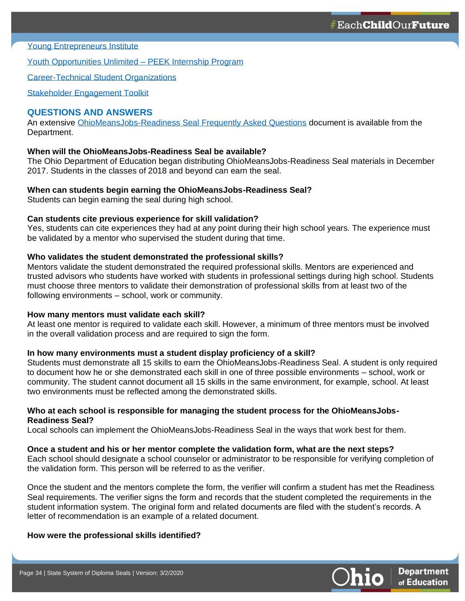[Young Entrepreneurs Institute](https://www.youngentrepreneurinstitute.org/educator/)

**34**

[Youth Opportunities Unlimited –](https://www.youthopportunities.org/peeke-internships) PEEK Internship Program

[Career-Technical Student Organizations](http://www.ctsos.org/wp-content/uploads/2015/02/Ohio.pdf)

[Stakeholder Engagement Toolkit](http://education.ohio.gov/Topics/New-Skills-for-Youth/SuccessBound/SuccessBound-Educators)

#### **QUESTIONS AND ANSWERS**

An extensive [OhioMeansJobs-Readiness Seal Frequently Asked Questions](http://education.ohio.gov/getattachment/Topics/New-Skills-for-Youth/SuccessBound/OhioMeansJobs-Readiness-Seal/OhioMeansJobs-Readiness-Seal-FAQs.pdf.aspx?lang=en-US) document is available from the Department.

### **When will the OhioMeansJobs-Readiness Seal be available?**

The Ohio Department of Education began distributing OhioMeansJobs-Readiness Seal materials in December 2017. Students in the classes of 2018 and beyond can earn the seal.

#### **When can students begin earning the OhioMeansJobs-Readiness Seal?**

Students can begin earning the seal during high school.

#### **Can students cite previous experience for skill validation?**

Yes, students can cite experiences they had at any point during their high school years. The experience must be validated by a mentor who supervised the student during that time.

#### **Who validates the student demonstrated the professional skills?**

Mentors validate the student demonstrated the required professional skills. Mentors are experienced and trusted advisors who students have worked with students in professional settings during high school. Students must choose three mentors to validate their demonstration of professional skills from at least two of the following environments – school, work or community.

#### **How many mentors must validate each skill?**

At least one mentor is required to validate each skill. However, a minimum of three mentors must be involved in the overall validation process and are required to sign the form.

#### **In how many environments must a student display proficiency of a skill?**

Students must demonstrate all 15 skills to earn the OhioMeansJobs-Readiness Seal. A student is only required to document how he or she demonstrated each skill in one of three possible environments – school, work or community. The student cannot document all 15 skills in the same environment, for example, school. At least two environments must be reflected among the demonstrated skills.

#### **Who at each school is responsible for managing the student process for the OhioMeansJobs-Readiness Seal?**

Local schools can implement the OhioMeansJobs-Readiness Seal in the ways that work best for them.

#### **Once a student and his or her mentor complete the validation form, what are the next steps?**

Each school should designate a school counselor or administrator to be responsible for verifying completion of the validation form. This person will be referred to as the verifier.

Once the student and the mentors complete the form, the verifier will confirm a student has met the Readiness Seal requirements. The verifier signs the form and records that the student completed the requirements in the student information system. The original form and related documents are filed with the student's records. A letter of recommendation is an example of a related document.

#### **How were the professional skills identified?**

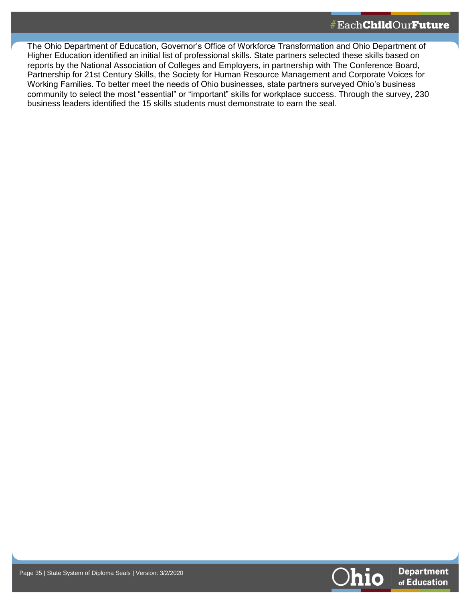The Ohio Department of Education, Governor's Office of Workforce Transformation and Ohio Department of Higher Education identified an initial list of professional skills. State partners selected these skills based on reports by the National Association of Colleges and Employers, in partnership with The Conference Board, Partnership for 21st Century Skills, the Society for Human Resource Management and Corporate Voices for Working Families. To better meet the needs of Ohio businesses, state partners surveyed Ohio's business community to select the most "essential" or "important" skills for workplace success. Through the survey, 230 business leaders identified the 15 skills students must demonstrate to earn the seal.

**35**

**35**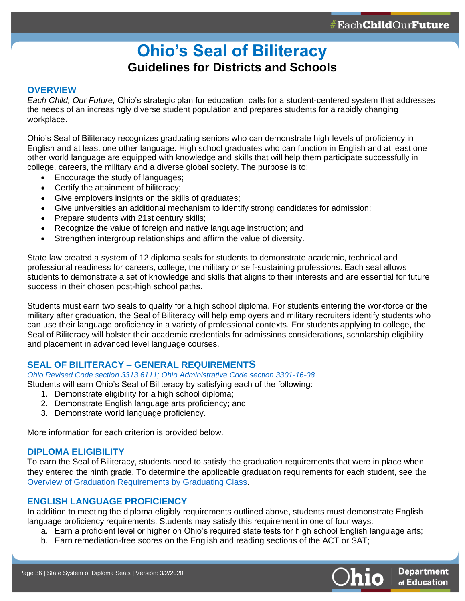## **Ohio's Seal of Biliteracy Guidelines for Districts and Schools**

#### <span id="page-35-0"></span>**OVERVIEW**

**36**

*Each Child, Our Future,* Ohio's strategic plan for education, calls for a student-centered system that addresses the needs of an increasingly diverse student population and prepares students for a rapidly changing workplace.

Ohio's Seal of Biliteracy recognizes graduating seniors who can demonstrate high levels of proficiency in English and at least one other language. High school graduates who can function in English and at least one other world language are equipped with knowledge and skills that will help them participate successfully in college, careers, the military and a diverse global society. The purpose is to:

- Encourage the study of languages;
- Certify the attainment of biliteracy;
- Give employers insights on the skills of graduates;
- Give universities an additional mechanism to identify strong candidates for admission;
- Prepare students with 21st century skills;
- Recognize the value of foreign and native language instruction; and
- Strengthen intergroup relationships and affirm the value of diversity.

State law created a system of 12 diploma seals for students to demonstrate academic, technical and professional readiness for careers, college, the military or self-sustaining professions. Each seal allows students to demonstrate a set of knowledge and skills that aligns to their interests and are essential for future success in their chosen post-high school paths.

Students must earn two seals to qualify for a high school diploma. For students entering the workforce or the military after graduation, the Seal of Biliteracy will help employers and military recruiters identify students who can use their language proficiency in a variety of professional contexts. For students applying to college, the Seal of Biliteracy will bolster their academic credentials for admissions considerations, scholarship eligibility and placement in advanced level language courses.

### **SEAL OF BILITERACY – GENERAL REQUIREMENTS**

*[Ohio Revised Code section 3313.6111;](http://codes.ohio.gov/orc/3313.6111) [Ohio Administrative Code section 3301-16-08](http://codes.ohio.gov/oac/3301-16-08v1)*

Students will earn Ohio's Seal of Biliteracy by satisfying each of the following:

- 1. Demonstrate eligibility for a high school diploma;
- 2. Demonstrate English language arts proficiency; and
- 3. Demonstrate world language proficiency.

More information for each criterion is provided below.

### **DIPLOMA ELIGIBILITY**

To earn the Seal of Biliteracy, students need to satisfy the graduation requirements that were in place when they entered the ninth grade. To determine the applicable graduation requirements for each student, see the [Overview of Graduation Requirements by Graduating Class.](http://education.ohio.gov/getattachment/Topics/Ohio-s-Graduation-Requirements/Graduation-Req-by-Cohort-Overview.pdf)

#### **ENGLISH LANGUAGE PROFICIENCY**

In addition to meeting the diploma eligibly requirements outlined above, students must demonstrate English language proficiency requirements. Students may satisfy this requirement in one of four ways:

- a. Earn a proficient level or higher on Ohio's required state tests for high school English language arts;
- b. Earn remediation-free scores on the English and reading sections of the ACT or SAT;

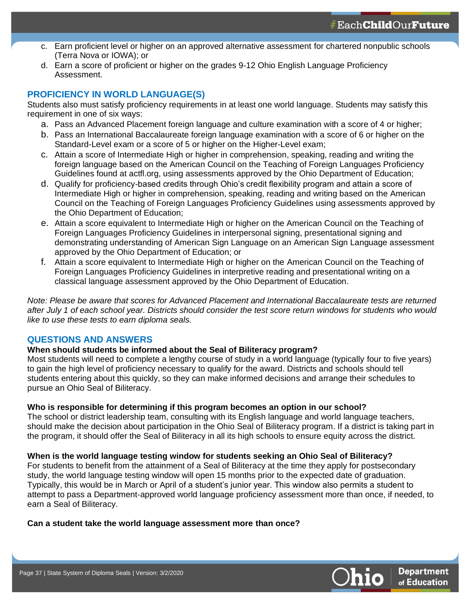- c. Earn proficient level or higher on an approved alternative assessment for chartered nonpublic schools (Terra Nova or IOWA); or
- d. Earn a score of proficient or higher on the grades 9-12 Ohio English Language Proficiency Assessment.

## **PROFICIENCY IN WORLD LANGUAGE(S)**

**37**

Students also must satisfy proficiency requirements in at least one world language. Students may satisfy this requirement in one of six ways:

- a. Pass an Advanced Placement foreign language and culture examination with a score of 4 or higher;
- b. Pass an International Baccalaureate foreign language examination with a score of 6 or higher on the Standard-Level exam or a score of 5 or higher on the Higher-Level exam;
- c. Attain a score of Intermediate High or higher in comprehension, speaking, reading and writing the foreign language based on the American Council on the Teaching of Foreign Languages Proficiency Guidelines found at actfl.org, using assessments approved by the Ohio Department of Education;
- d. Qualify for proficiency-based credits through Ohio's credit flexibility program and attain a score of Intermediate High or higher in comprehension, speaking, reading and writing based on the American Council on the Teaching of Foreign Languages Proficiency Guidelines using assessments approved by the Ohio Department of Education;
- e. Attain a score equivalent to Intermediate High or higher on the American Council on the Teaching of Foreign Languages Proficiency Guidelines in interpersonal signing, presentational signing and demonstrating understanding of American Sign Language on an American Sign Language assessment approved by the Ohio Department of Education; or
- f. Attain a score equivalent to Intermediate High or higher on the American Council on the Teaching of Foreign Languages Proficiency Guidelines in interpretive reading and presentational writing on a classical language assessment approved by the Ohio Department of Education.

*Note: Please be aware that scores for Advanced Placement and International Baccalaureate tests are returned after July 1 of each school year. Districts should consider the test score return windows for students who would like to use these tests to earn diploma seals.*

### **QUESTIONS AND ANSWERS**

#### **When should students be informed about the Seal of Biliteracy program?**

Most students will need to complete a lengthy course of study in a world language (typically four to five years) to gain the high level of proficiency necessary to qualify for the award. Districts and schools should tell students entering about this quickly, so they can make informed decisions and arrange their schedules to pursue an Ohio Seal of Biliteracy.

#### **Who is responsible for determining if this program becomes an option in our school?**

The school or district leadership team, consulting with its English language and world language teachers, should make the decision about participation in the Ohio Seal of Biliteracy program. If a district is taking part in the program, it should offer the Seal of Biliteracy in all its high schools to ensure equity across the district.

#### **When is the world language testing window for students seeking an Ohio Seal of Biliteracy?**

For students to benefit from the attainment of a Seal of Biliteracy at the time they apply for postsecondary study, the world language testing window will open 15 months prior to the expected date of graduation. Typically, this would be in March or April of a student's junior year. This window also permits a student to attempt to pass a Department-approved world language proficiency assessment more than once, if needed, to earn a Seal of Biliteracy.

#### **Can a student take the world language assessment more than once?**

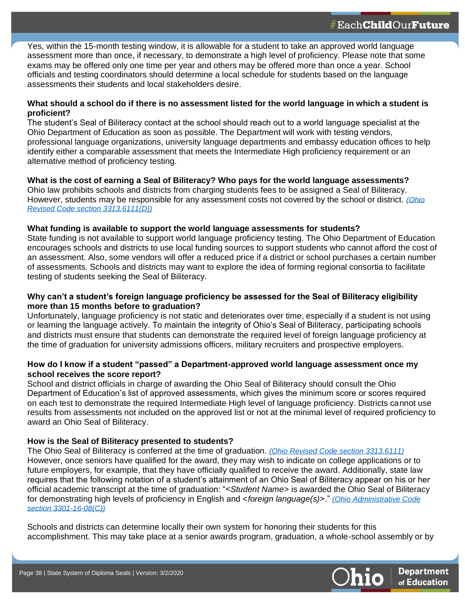Yes, within the 15-month testing window, it is allowable for a student to take an approved world language assessment more than once, if necessary, to demonstrate a high level of proficiency. Please note that some exams may be offered only one time per year and others may be offered more than once a year. School officials and testing coordinators should determine a local schedule for students based on the language assessments their students and local stakeholders desire.

#### **What should a school do if there is no assessment listed for the world language in which a student is proficient?**

The student's Seal of Biliteracy contact at the school should reach out to a world language specialist at the Ohio Department of Education as soon as possible. The Department will work with testing vendors, professional language organizations, university language departments and embassy education offices to help identify either a comparable assessment that meets the Intermediate High proficiency requirement or an alternative method of proficiency testing.

**What is the cost of earning a Seal of Biliteracy? Who pays for the world language assessments?** Ohio law prohibits schools and districts from charging students fees to be assigned a Seal of Biliteracy. However, students may be responsible for any assessment costs not covered by the school or district. *[\(Ohio](http://codes.ohio.gov/orc/3313.6111)  [Revised Code section 3313.6111\(D\)\)](http://codes.ohio.gov/orc/3313.6111)*

#### **What funding is available to support the world language assessments for students?**

State funding is not available to support world language proficiency testing. The Ohio Department of Education encourages schools and districts to use local funding sources to support students who cannot afford the cost of an assessment. Also, some vendors will offer a reduced price if a district or school purchases a certain number of assessments. Schools and districts may want to explore the idea of forming regional consortia to facilitate testing of students seeking the Seal of Biliteracy.

#### **Why can't a student's foreign language proficiency be assessed for the Seal of Biliteracy eligibility more than 15 months before to graduation?**

Unfortunately, language proficiency is not static and deteriorates over time, especially if a student is not using or learning the language actively. To maintain the integrity of Ohio's Seal of Biliteracy, participating schools and districts must ensure that students can demonstrate the required level of foreign language proficiency at the time of graduation for university admissions officers, military recruiters and prospective employers.

#### **How do I know if a student "passed" a Department-approved world language assessment once my school receives the score report?**

School and district officials in charge of awarding the Ohio Seal of Biliteracy should consult the Ohio Department of Education's list of approved assessments, which gives the minimum score or scores required on each test to demonstrate the required Intermediate High level of language proficiency. Districts cannot use results from assessments not included on the approved list or not at the minimal level of required proficiency to award an Ohio Seal of Biliteracy.

#### **How is the Seal of Biliteracy presented to students?**

The Ohio Seal of Biliteracy is conferred at the time of graduation. *[\(Ohio Revised Code section 3313.6111\)](http://codes.ohio.gov/orc/3313.6111)* However, once seniors have qualified for the award, they may wish to indicate on college applications or to future employers, for example, that they have officially qualified to receive the award. Additionally, state law requires that the following notation of a student's attainment of an Ohio Seal of Biliteracy appear on his or her official academic transcript at the time of graduation: "<*Student Name*> is awarded the Ohio Seal of Biliteracy for demonstrating high levels of proficiency in English and <*foreign language(s)*>." *[\(Ohio Administrative Code](http://codes.ohio.gov/oac/3301-16-08)  section [3301-16-08\(C\)\)](http://codes.ohio.gov/oac/3301-16-08)*

Schools and districts can determine locally their own system for honoring their students for this accomplishment. This may take place at a senior awards program, graduation, a whole-school assembly or by



**38**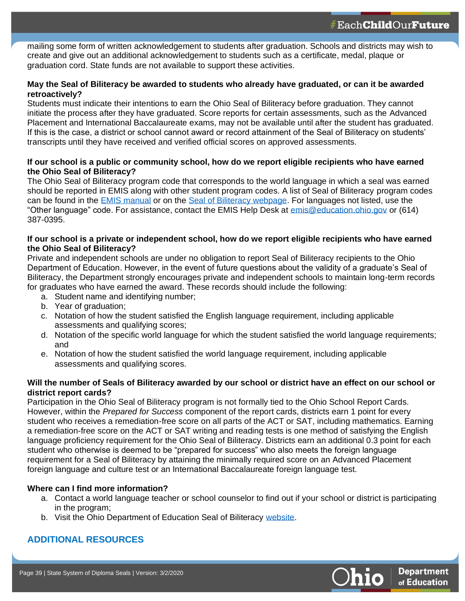mailing some form of written acknowledgement to students after graduation. Schools and districts may wish to create and give out an additional acknowledgement to students such as a certificate, medal, plaque or graduation cord. State funds are not available to support these activities.

#### **May the Seal of Biliteracy be awarded to students who already have graduated, or can it be awarded retroactively?**

Students must indicate their intentions to earn the Ohio Seal of Biliteracy before graduation. They cannot initiate the process after they have graduated. Score reports for certain assessments, such as the Advanced Placement and International Baccalaureate exams, may not be available until after the student has graduated. If this is the case, a district or school cannot award or record attainment of the Seal of Biliteracy on students' transcripts until they have received and verified official scores on approved assessments.

#### **If our school is a public or community school, how do we report eligible recipients who have earned the Ohio Seal of Biliteracy?**

The Ohio Seal of Biliteracy program code that corresponds to the world language in which a seal was earned should be reported in EMIS along with other student program codes. A list of Seal of Biliteracy program codes can be found in the [EMIS manual](http://education.ohio.gov/getattachment/Topics/Data/EMIS/EMIS-Documentation/Current-EMIS-Manual/2-9-Student-Program-GQ-Record-v8-1.pdf.aspx?lang=en-US) or on the [Seal of Biliteracy webpage.](http://education.ohio.gov/Topics/Learning-in-Ohio/Foreign-Language/Ohio-Seal-of-Biliteracy) For languages not listed, use the "Other language" code. For assistance, contact the EMIS Help Desk at [emis@education.ohio.gov](mailto:emis@education.ohio.gov) or (614) 387-0395.

#### **If our school is a private or independent school, how do we report eligible recipients who have earned the Ohio Seal of Biliteracy?**

Private and independent schools are under no obligation to report Seal of Biliteracy recipients to the Ohio Department of Education. However, in the event of future questions about the validity of a graduate's Seal of Biliteracy, the Department strongly encourages private and independent schools to maintain long-term records for graduates who have earned the award. These records should include the following:

- a. Student name and identifying number;
- b. Year of graduation:

**39**

- c. Notation of how the student satisfied the English language requirement, including applicable assessments and qualifying scores;
- d. Notation of the specific world language for which the student satisfied the world language requirements; and
- e. Notation of how the student satisfied the world language requirement, including applicable assessments and qualifying scores.

#### **Will the number of Seals of Biliteracy awarded by our school or district have an effect on our school or district report cards?**

Participation in the Ohio Seal of Biliteracy program is not formally tied to the Ohio School Report Cards. However, within the *Prepared for Success* component of the report cards, districts earn 1 point for every student who receives a remediation-free score on all parts of the ACT or SAT, including mathematics. Earning a remediation-free score on the ACT or SAT writing and reading tests is one method of satisfying the English language proficiency requirement for the Ohio Seal of Biliteracy. Districts earn an additional 0.3 point for each student who otherwise is deemed to be "prepared for success" who also meets the foreign language requirement for a Seal of Biliteracy by attaining the minimally required score on an Advanced Placement foreign language and culture test or an International Baccalaureate foreign language test.

#### **Where can I find more information?**

- a. Contact a world language teacher or school counselor to find out if your school or district is participating in the program;
- b. Visit the Ohio Department of Education Seal of Biliteracy [website.](http://education.ohio.gov/Topics/Learning-in-Ohio/Foreign-Language/Ohio-Seal-of-Biliteracy)

## **ADDITIONAL RESOURCES**

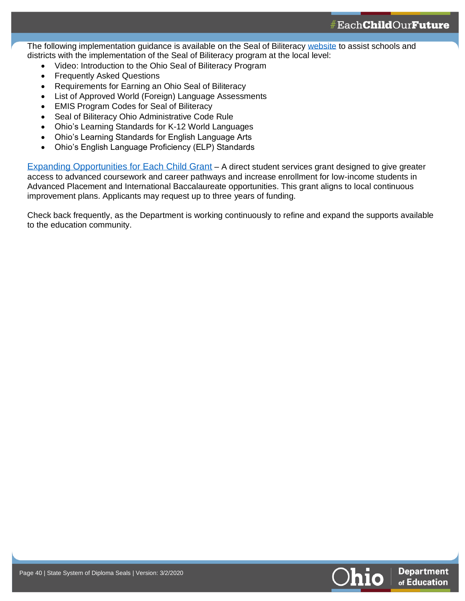The following implementation guidance is available on the Seal of Biliteracy [website](http://education.ohio.gov/Topics/Learning-in-Ohio/Foreign-Language/Ohio-Seal-of-Biliteracy) to assist schools and districts with the implementation of the Seal of Biliteracy program at the local level:

- Video: Introduction to the Ohio Seal of Biliteracy Program
- **Frequently Asked Questions**

**40**

- Requirements for Earning an Ohio Seal of Biliteracy
- List of Approved World (Foreign) Language Assessments
- EMIS Program Codes for Seal of Biliteracy
- Seal of Biliteracy Ohio Administrative Code Rule
- Ohio's Learning Standards for K-12 World Languages
- Ohio's Learning Standards for English Language Arts
- Ohio's English Language Proficiency (ELP) Standards

Expanding Opportunities for Each Child Grant – A direct student services grant designed to give greater access to advanced coursework and career pathways and increase enrollment for low-income students in Advanced Placement and International Baccalaureate opportunities. This grant aligns to local continuous improvement plans. Applicants may request up to three years of funding.

Check back frequently, as the Department is working continuously to refine and expand the supports available to the education community.

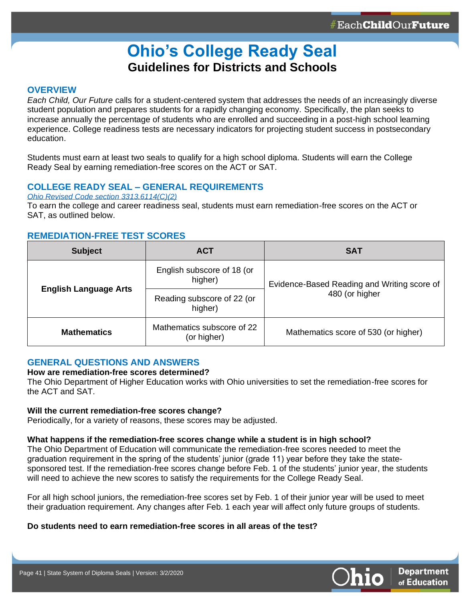## **Ohio's College Ready Seal Guidelines for Districts and Schools**

#### <span id="page-40-0"></span>**OVERVIEW**

**41**

*Each Child, Our Future* calls for a student-centered system that addresses the needs of an increasingly diverse student population and prepares students for a rapidly changing economy. Specifically, the plan seeks to increase annually the percentage of students who are enrolled and succeeding in a post-high school learning experience. College readiness tests are necessary indicators for projecting student success in postsecondary education.

Students must earn at least two seals to qualify for a high school diploma. Students will earn the College Ready Seal by earning remediation-free scores on the ACT or SAT.

#### **COLLEGE READY SEAL – GENERAL REQUIREMENTS**

*[Ohio Revised Code section 3313.6114\(C\)\(2\)](http://codes.ohio.gov/orc/3313.6114)*

To earn the college and career readiness seal, students must earn remediation-free scores on the ACT or SAT, as outlined below.

#### **REMEDIATION-FREE TEST SCORES**

| <b>Subject</b>               | <b>ACT</b>                                | <b>SAT</b>                                                    |  |
|------------------------------|-------------------------------------------|---------------------------------------------------------------|--|
| <b>English Language Arts</b> | English subscore of 18 (or<br>higher)     | Evidence-Based Reading and Writing score of<br>480 (or higher |  |
|                              | Reading subscore of 22 (or<br>higher)     |                                                               |  |
| <b>Mathematics</b>           | Mathematics subscore of 22<br>(or higher) | Mathematics score of 530 (or higher)                          |  |

### **GENERAL QUESTIONS AND ANSWERS**

#### **How are remediation-free scores determined?**

The Ohio Department of Higher Education works with Ohio universities to set the remediation-free scores for the ACT and SAT.

#### **Will the current remediation-free scores change?**

Periodically, for a variety of reasons, these scores may be adjusted.

#### **What happens if the remediation-free scores change while a student is in high school?**

The Ohio Department of Education will communicate the remediation-free scores needed to meet the graduation requirement in the spring of the students' junior (grade 11) year before they take the statesponsored test. If the remediation-free scores change before Feb. 1 of the students' junior year, the students will need to achieve the new scores to satisfy the requirements for the College Ready Seal.

For all high school juniors, the remediation-free scores set by Feb. 1 of their junior year will be used to meet their graduation requirement. Any changes after Feb. 1 each year will affect only future groups of students.

#### **Do students need to earn remediation-free scores in all areas of the test?**

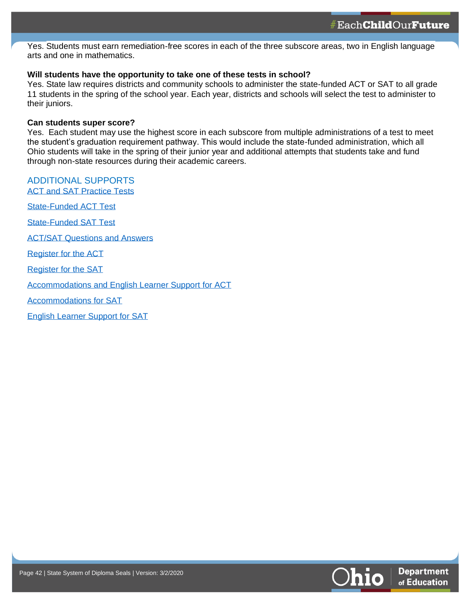Yes. Students must earn remediation-free scores in each of the three subscore areas, two in English language arts and one in mathematics.

#### **Will students have the opportunity to take one of these tests in school?**

Yes. State law requires districts and community schools to administer the state-funded ACT or SAT to all grade 11 students in the spring of the school year. Each year, districts and schools will select the test to administer to their juniors.

#### **Can students super score?**

**42**

Yes. Each student may use the highest score in each subscore from multiple administrations of a test to meet the student's graduation requirement pathway. This would include the state-funded administration, which all Ohio students will take in the spring of their junior year and additional attempts that students take and fund through non-state resources during their academic careers.

#### ADDITIONAL SUPPORTS [ACT and SAT Practice Tests](http://education.ohio.gov/Topics/Testing/ACT-and-SAT-Practice-Tests)

[State-Funded ACT Test](http://education.ohio.gov/Topics/Testing/State-Funded-ACT-Test)

[State-Funded SAT Test](http://education.ohio.gov/Topics/Testing/State-Funded-SAT-Test)

[ACT/SAT Questions and Answers](http://education.ohio.gov/Topics/Testing/ACT-SAT-FAQs)

[Register for the ACT](https://www.act.org/content/act/en/students-and-parents.html)

[Register for the SAT](https://collegereadiness.collegeboard.org/sat?navId=gf-sat)

[Accommodations and English Learner Support for ACT](http://www.act.org/content/act/en/products-and-services/the-act/registration/accommodations.html)

[Accommodations for SAT](https://accommodations.collegeboard.org/)

[English Learner Support for SAT](https://collegereadiness.collegeboard.org/educators/k-12/english-learner-supports)

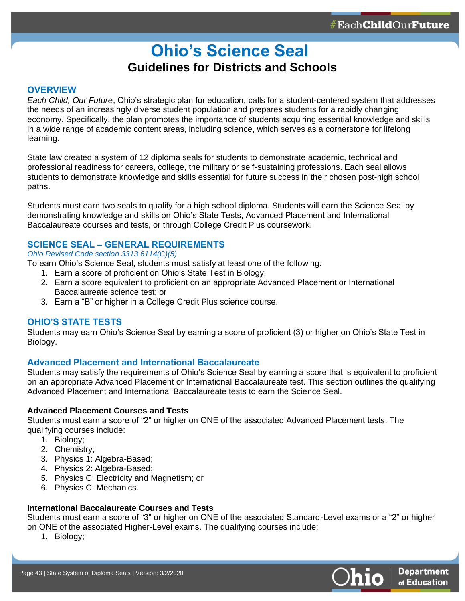## **Ohio's Science Seal Guidelines for Districts and Schools**

#### <span id="page-42-0"></span>**OVERVIEW**

**43**

*Each Child, Our Future*, Ohio's strategic plan for education, calls for a student-centered system that addresses the needs of an increasingly diverse student population and prepares students for a rapidly changing economy. Specifically, the plan promotes the importance of students acquiring essential knowledge and skills in a wide range of academic content areas, including science, which serves as a cornerstone for lifelong learning.

State law created a system of 12 diploma seals for students to demonstrate academic, technical and professional readiness for careers, college, the military or self-sustaining professions. Each seal allows students to demonstrate knowledge and skills essential for future success in their chosen post-high school paths.

Students must earn two seals to qualify for a high school diploma. Students will earn the Science Seal by demonstrating knowledge and skills on Ohio's State Tests, Advanced Placement and International Baccalaureate courses and tests, or through College Credit Plus coursework.

#### **SCIENCE SEAL – GENERAL REQUIREMENTS**

#### *[Ohio Revised Code section 3313.6114\(C\)\(5\)](http://codes.ohio.gov/orc/3313.6114)*

To earn Ohio's Science Seal, students must satisfy at least one of the following:

- 1. Earn a score of proficient on Ohio's State Test in Biology;
- 2. Earn a score equivalent to proficient on an appropriate Advanced Placement or International Baccalaureate science test; or
- 3. Earn a "B" or higher in a College Credit Plus science course.

#### **OHIO'S STATE TESTS**

Students may earn Ohio's Science Seal by earning a score of proficient (3) or higher on Ohio's State Test in Biology.

#### **Advanced Placement and International Baccalaureate**

Students may satisfy the requirements of Ohio's Science Seal by earning a score that is equivalent to proficient on an appropriate Advanced Placement or International Baccalaureate test. This section outlines the qualifying Advanced Placement and International Baccalaureate tests to earn the Science Seal.

#### **Advanced Placement Courses and Tests**

Students must earn a score of "2" or higher on ONE of the associated Advanced Placement tests. The qualifying courses include:

- 1. Biology;
- 2. Chemistry;
- 3. Physics 1: Algebra-Based;
- 4. Physics 2: Algebra-Based;
- 5. Physics C: Electricity and Magnetism; or
- 6. Physics C: Mechanics.

#### **International Baccalaureate Courses and Tests**

Students must earn a score of "3" or higher on ONE of the associated Standard-Level exams or a "2" or higher on ONE of the associated Higher-Level exams. The qualifying courses include:

1. Biology;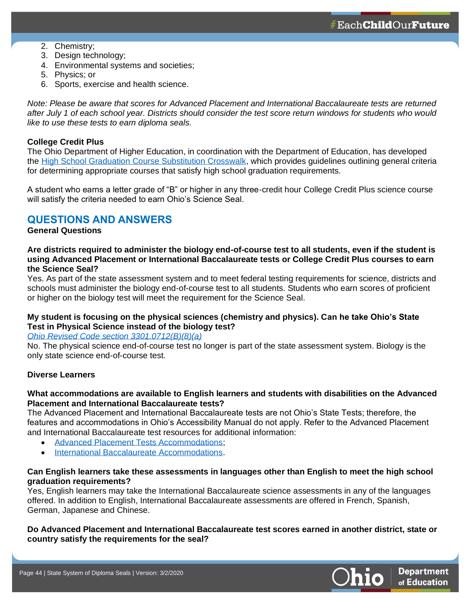2. Chemistry;

**44**

- 3. Design technology;
- 4. Environmental systems and societies;
- 5. Physics; or
- 6. Sports, exercise and health science.

*Note: Please be aware that scores for Advanced Placement and International Baccalaureate tests are returned after July 1 of each school year. Districts should consider the test score return windows for students who would like to use these tests to earn diploma seals.*

#### **College Credit Plus**

The Ohio Department of Higher Education, in coordination with the Department of Education, has developed the [High School Graduation Course Substitution Crosswalk,](https://www.ohiohighered.org/sites/ohiohighered.org/files/uploads/CCP/CCP_Course-Substitution-Crosswalk_May2017.pdf) which provides guidelines outlining general criteria for determining appropriate courses that satisfy high school graduation requirements.

A student who earns a letter grade of "B" or higher in any three-credit hour College Credit Plus science course will satisfy the criteria needed to earn Ohio's Science Seal.

## **QUESTIONS AND ANSWERS**

#### **General Questions**

#### **Are districts required to administer the biology end-of-course test to all students, even if the student is using Advanced Placement or International Baccalaureate tests or College Credit Plus courses to earn the Science Seal?**

Yes. As part of the state assessment system and to meet federal testing requirements for science, districts and schools must administer the biology end-of-course test to all students. Students who earn scores of proficient or higher on the biology test will meet the requirement for the Science Seal.

#### **My student is focusing on the physical sciences (chemistry and physics). Can he take Ohio's State Test in Physical Science instead of the biology test?**

#### *[Ohio Revised Code section 3301.0712\(B\)\(8\)\(a\)](http://codes.ohio.gov/orc/3301.0712)*

No. The physical science end-of-course test no longer is part of the state assessment system. Biology is the only state science end-of-course test.

#### **Diverse Learners**

#### **What accommodations are available to English learners and students with disabilities on the Advanced Placement and International Baccalaureate tests?**

The Advanced Placement and International Baccalaureate tests are not Ohio's State Tests; therefore, the features and accommodations in Ohio's Accessibility Manual do not apply. Refer to the Advanced Placement and International Baccalaureate test resources for additional information:

- [Advanced Placement Tests Accommodations;](https://apcentral.collegeboard.org/ap-coordinators/preparing-exam-day/accommodations)
- [International Baccalaureate Accommodations.](https://www.haef.gr/~/media/Files/HAEF/IB/pdf/Info_for_parents/Candidates_with_SpecialAssessmentNeeds_2011.ashx?la=en)

#### **Can English learners take these assessments in languages other than English to meet the high school graduation requirements?**

Yes, English learners may take the International Baccalaureate science assessments in any of the languages offered. In addition to English, International Baccalaureate assessments are offered in French, Spanish, German, Japanese and Chinese.

#### **Do Advanced Placement and International Baccalaureate test scores earned in another district, state or country satisfy the requirements for the seal?**

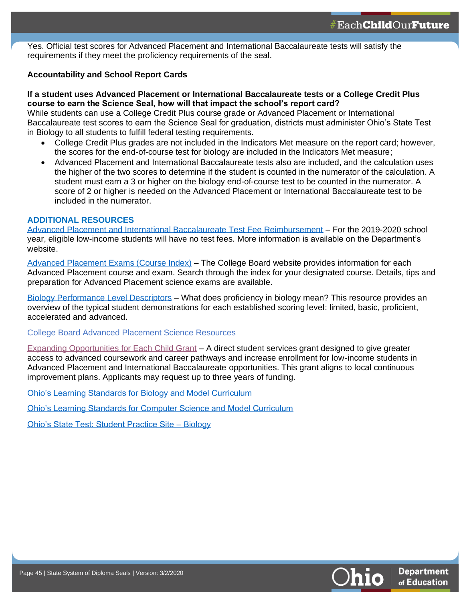Yes. Official test scores for Advanced Placement and International Baccalaureate tests will satisfy the requirements if they meet the proficiency requirements of the seal.

#### **Accountability and School Report Cards**

**45**

#### **If a student uses Advanced Placement or International Baccalaureate tests or a College Credit Plus course to earn the Science Seal, how will that impact the school's report card?**

While students can use a College Credit Plus course grade or Advanced Placement or International Baccalaureate test scores to earn the Science Seal for graduation, districts must administer Ohio's State Test in Biology to all students to fulfill federal testing requirements.

- College Credit Plus grades are not included in the Indicators Met measure on the report card; however, the scores for the end-of-course test for biology are included in the Indicators Met measure;
- Advanced Placement and International Baccalaureate tests also are included, and the calculation uses the higher of the two scores to determine if the student is counted in the numerator of the calculation. A student must earn a 3 or higher on the biology end-of-course test to be counted in the numerator. A score of 2 or higher is needed on the Advanced Placement or International Baccalaureate test to be included in the numerator.

#### **ADDITIONAL RESOURCES**

[Advanced Placement and International Baccalaureate Test Fee Reimbursement](http://education.ohio.gov/Topics/Learning-in-Ohio/Advanced-Placement-and-International-Baccalaureate) – For the 2019-2020 school year, eligible low-income students will have no test fees. More information is available on the Department's website.

[Advanced Placement Exams \(Course Index\)](https://apstudents.collegeboard.org/course-index-page) – The College Board website provides information for each Advanced Placement course and exam. Search through the index for your designated course. Details, tips and preparation for Advanced Placement science exams are available.

[Biology Performance Level Descriptors](https://oh.portal.airast.org/core/fileparse.php/3094/urlt/OCBA_Biology_PLDs.pdf) – What does proficiency in biology mean? This resource provides an overview of the typical student demonstrations for each established scoring level: limited, basic, proficient, accelerated and advanced.

College Board Advanced Placement Science Resources

[Expanding Opportunities for Each Child Grant](http://education.ohio.gov/Topics/District-and-School-Continuous-Improvement/Expanding-Opportunities-for-Each-Child-EOEC-A) – A direct student services grant designed to give greater access to advanced coursework and career pathways and increase enrollment for low-income students in Advanced Placement and International Baccalaureate opportunities. This grant aligns to local continuous improvement plans. Applicants may request up to three years of funding.

[Ohio's Learning Standards for Biology and Model Curriculum](http://education.ohio.gov/getattachment/Topics/Learning-in-Ohio/Science/Ohios-Learning-Standards-and-MC/ScienceStandards.pdf.aspx?lang=en-US)

[Ohio's Learning Standards for Computer Science and Model Curriculum](http://education.ohio.gov/getattachment/Topics/Learning-in-Ohio/Computer-Science/Model-Curricula-in-Computer-Science/ComputerScienceMC_Gr9-12.pdf.aspx?lang=en-US)

[Ohio's State Test: Student Practice Site –](http://oh.portal.airast.org/ocba/students-and-families/) Biology

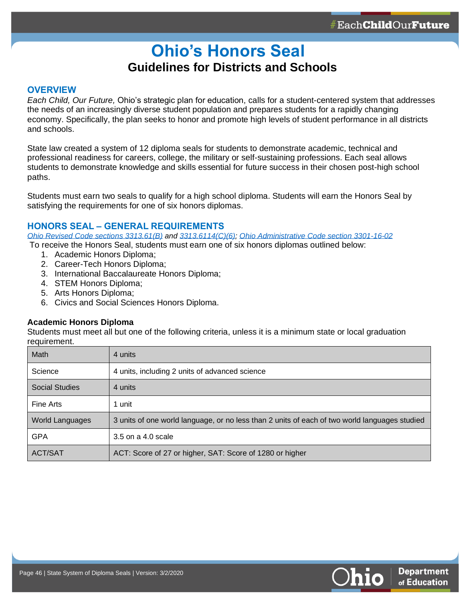## **Ohio's Honors Seal  Guidelines for Districts and Schools**

#### <span id="page-45-0"></span>**OVERVIEW**

**46**

*Each Child, Our Future,* Ohio's strategic plan for education, calls for a student-centered system that addresses the needs of an increasingly diverse student population and prepares students for a rapidly changing economy. Specifically, the plan seeks to honor and promote high levels of student performance in all districts and schools.

State law created a system of 12 diploma seals for students to demonstrate academic, technical and professional readiness for careers, college, the military or self-sustaining professions. Each seal allows students to demonstrate knowledge and skills essential for future success in their chosen post-high school paths.

Students must earn two seals to qualify for a high school diploma. Students will earn the Honors Seal by satisfying the requirements for one of six honors diplomas.

#### **HONORS SEAL – GENERAL REQUIREMENTS**

*[Ohio Revised Code sections](http://codes.ohio.gov/orc/3313.61) 3313.61(B) and [3313.6114\(C\)\(6\);](http://codes.ohio.gov/orc/3313.6114) [Ohio Administrative Code section 3301-16-02](http://codes.ohio.gov/oac/3301-16-02v1)*

- To receive the Honors Seal, students must earn one of six honors diplomas outlined below:
	- 1. Academic Honors Diploma;
	- 2. Career-Tech Honors Diploma;
	- 3. International Baccalaureate Honors Diploma;
	- 4. STEM Honors Diploma;
	- 5. Arts Honors Diploma;
	- 6. Civics and Social Sciences Honors Diploma.

#### **Academic Honors Diploma**

Students must meet all but one of the following criteria, unless it is a minimum state or local graduation requirement.

| Math                   | 4 units                                                                                       |
|------------------------|-----------------------------------------------------------------------------------------------|
| Science                | 4 units, including 2 units of advanced science                                                |
| <b>Social Studies</b>  | 4 units                                                                                       |
| Fine Arts              | 1 unit                                                                                        |
| <b>World Languages</b> | 3 units of one world language, or no less than 2 units of each of two world languages studied |
| <b>GPA</b>             | 3.5 on a 4.0 scale                                                                            |
| <b>ACT/SAT</b>         | ACT: Score of 27 or higher, SAT: Score of 1280 or higher                                      |

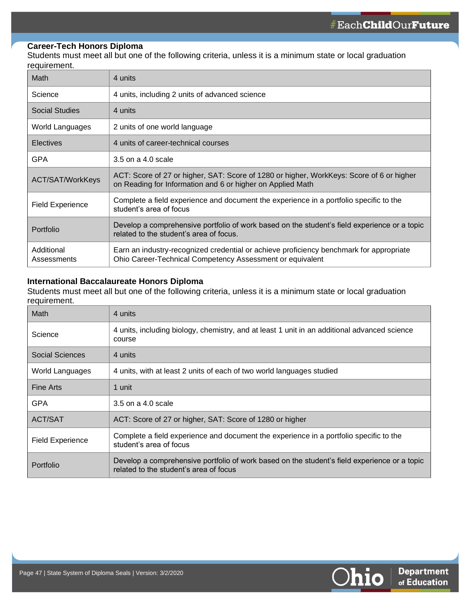#### **Career-Tech Honors Diploma**

**47**

Students must meet all but one of the following criteria, unless it is a minimum state or local graduation requirement.

| <b>Math</b>               | 4 units                                                                                                                                                |
|---------------------------|--------------------------------------------------------------------------------------------------------------------------------------------------------|
| Science                   | 4 units, including 2 units of advanced science                                                                                                         |
| <b>Social Studies</b>     | 4 units                                                                                                                                                |
| World Languages           | 2 units of one world language                                                                                                                          |
| <b>Electives</b>          | 4 units of career-technical courses                                                                                                                    |
| <b>GPA</b>                | 3.5 on a 4.0 scale                                                                                                                                     |
| <b>ACT/SAT/WorkKeys</b>   | ACT: Score of 27 or higher, SAT: Score of 1280 or higher, WorkKeys: Score of 6 or higher<br>on Reading for Information and 6 or higher on Applied Math |
| <b>Field Experience</b>   | Complete a field experience and document the experience in a portfolio specific to the<br>student's area of focus                                      |
| Portfolio                 | Develop a comprehensive portfolio of work based on the student's field experience or a topic<br>related to the student's area of focus.                |
| Additional<br>Assessments | Earn an industry-recognized credential or achieve proficiency benchmark for appropriate<br>Ohio Career-Technical Competency Assessment or equivalent   |

#### **International Baccalaureate Honors Diploma**

Students must meet all but one of the following criteria, unless it is a minimum state or local graduation requirement.

| Math                    | 4 units                                                                                                                                |
|-------------------------|----------------------------------------------------------------------------------------------------------------------------------------|
| Science                 | 4 units, including biology, chemistry, and at least 1 unit in an additional advanced science<br>course                                 |
| Social Sciences         | 4 units                                                                                                                                |
| World Languages         | 4 units, with at least 2 units of each of two world languages studied                                                                  |
| <b>Fine Arts</b>        | 1 unit                                                                                                                                 |
| GPA                     | 3.5 on a 4.0 scale                                                                                                                     |
| ACT/SAT                 | ACT: Score of 27 or higher, SAT: Score of 1280 or higher                                                                               |
| <b>Field Experience</b> | Complete a field experience and document the experience in a portfolio specific to the<br>student's area of focus                      |
| <b>Portfolio</b>        | Develop a comprehensive portfolio of work based on the student's field experience or a topic<br>related to the student's area of focus |

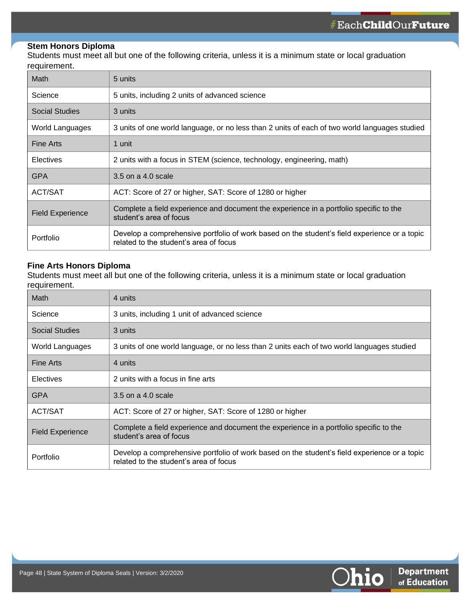#### **Stem Honors Diploma**

**48**

Students must meet all but one of the following criteria, unless it is a minimum state or local graduation requirement.

| Math                    | 5 units                                                                                                                                |
|-------------------------|----------------------------------------------------------------------------------------------------------------------------------------|
| Science                 | 5 units, including 2 units of advanced science                                                                                         |
| <b>Social Studies</b>   | 3 units                                                                                                                                |
| World Languages         | 3 units of one world language, or no less than 2 units of each of two world languages studied                                          |
| <b>Fine Arts</b>        | 1 unit                                                                                                                                 |
| <b>Electives</b>        | 2 units with a focus in STEM (science, technology, engineering, math)                                                                  |
| <b>GPA</b>              | 3.5 on a 4.0 scale                                                                                                                     |
| <b>ACT/SAT</b>          | ACT: Score of 27 or higher, SAT: Score of 1280 or higher                                                                               |
| <b>Field Experience</b> | Complete a field experience and document the experience in a portfolio specific to the<br>student's area of focus                      |
| Portfolio               | Develop a comprehensive portfolio of work based on the student's field experience or a topic<br>related to the student's area of focus |

#### **Fine Arts Honors Diploma**

Students must meet all but one of the following criteria, unless it is a minimum state or local graduation requirement.

| <b>Math</b>             | 4 units                                                                                                                                |
|-------------------------|----------------------------------------------------------------------------------------------------------------------------------------|
| Science                 | 3 units, including 1 unit of advanced science                                                                                          |
| <b>Social Studies</b>   | 3 units                                                                                                                                |
| World Languages         | 3 units of one world language, or no less than 2 units each of two world languages studied                                             |
| <b>Fine Arts</b>        | 4 units                                                                                                                                |
| Electives               | 2 units with a focus in fine arts                                                                                                      |
| <b>GPA</b>              | 3.5 on a 4.0 scale                                                                                                                     |
| ACT/SAT                 | ACT: Score of 27 or higher, SAT: Score of 1280 or higher                                                                               |
| <b>Field Experience</b> | Complete a field experience and document the experience in a portfolio specific to the<br>student's area of focus                      |
| Portfolio               | Develop a comprehensive portfolio of work based on the student's field experience or a topic<br>related to the student's area of focus |

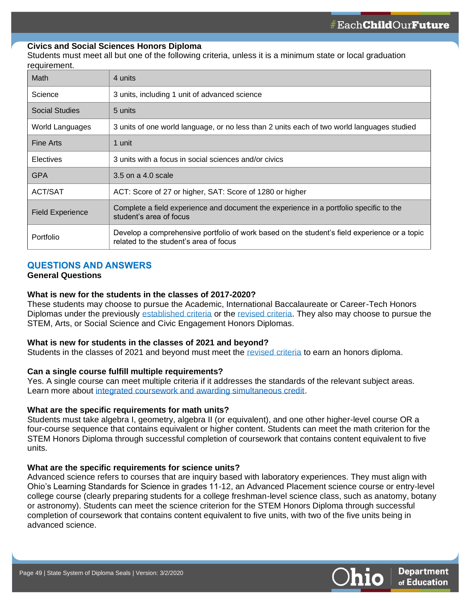#### **Civics and Social Sciences Honors Diploma**

Students must meet all but one of the following criteria, unless it is a minimum state or local graduation requirement.

| <b>Math</b>             | 4 units                                                                                                                                |
|-------------------------|----------------------------------------------------------------------------------------------------------------------------------------|
| Science                 | 3 units, including 1 unit of advanced science                                                                                          |
| <b>Social Studies</b>   | 5 units                                                                                                                                |
| World Languages         | 3 units of one world language, or no less than 2 units each of two world languages studied                                             |
| <b>Fine Arts</b>        | 1 unit                                                                                                                                 |
| <b>Electives</b>        | 3 units with a focus in social sciences and/or civics                                                                                  |
| <b>GPA</b>              | 3.5 on a 4.0 scale                                                                                                                     |
| ACT/SAT                 | ACT: Score of 27 or higher, SAT: Score of 1280 or higher                                                                               |
| <b>Field Experience</b> | Complete a field experience and document the experience in a portfolio specific to the<br>student's area of focus                      |
| Portfolio               | Develop a comprehensive portfolio of work based on the student's field experience or a topic<br>related to the student's area of focus |

#### **QUESTIONS AND ANSWERS**

#### **General Questions**

**49**

#### **What is new for the students in the classes of 2017-2020?**

These students may choose to pursue the Academic, International Baccalaureate or Career-Tech Honors Diplomas under the previously [established criteria](http://education.ohio.gov/getattachment/Topics/Ohio-Graduation-Requirements/Graduation-Requirements-2014-2017/Criteria-for-Diploma-with-Honors/Ohio-Honors-Diplomas-Establish-Grid.pdf.aspx) or the [revised criteria.](http://education.ohio.gov/getattachment/Topics/Ohio-Graduation-Requirements/Graduation-Requirements-2014-2017/Criteria-for-Diploma-with-Honors/Honors-Diploma-Revised-Grid.pdf.aspx) They also may choose to pursue the STEM, Arts, or Social Science and Civic Engagement Honors Diplomas.

#### **What is new for students in the classes of 2021 and beyond?**

Students in the classes of 2021 and beyond must meet the [revised criteria](http://education.ohio.gov/getattachment/Topics/Ohio-Graduation-Requirements/Graduation-Requirements-2014-2017/Criteria-for-Diploma-with-Honors/Honors-Diploma-Revised-Grid.pdf.aspx) to earn an honors diploma.

#### **Can a single course fulfill multiple requirements?**

Yes. A single course can meet multiple criteria if it addresses the standards of the relevant subject areas. Learn more about [integrated coursework and awarding simultaneous credit.](http://education.ohio.gov/getattachment/Topics/Quality-School-Choice/Credit-Flexibility-Plan/Integrated-Coursework-Guidance.pdf.aspx?lang=en-US)

#### **What are the specific requirements for math units?**

Students must take algebra I, geometry, algebra II (or equivalent), and one other higher-level course OR a four-course sequence that contains equivalent or higher content. Students can meet the math criterion for the STEM Honors Diploma through successful completion of coursework that contains content equivalent to five units.

#### **What are the specific requirements for science units?**

Advanced science refers to courses that are inquiry based with laboratory experiences. They must align with Ohio's Learning Standards for Science in grades 11-12, an Advanced Placement science course or entry-level college course (clearly preparing students for a college freshman-level science class, such as anatomy, botany or astronomy). Students can meet the science criterion for the STEM Honors Diploma through successful completion of coursework that contains content equivalent to five units, with two of the five units being in advanced science.

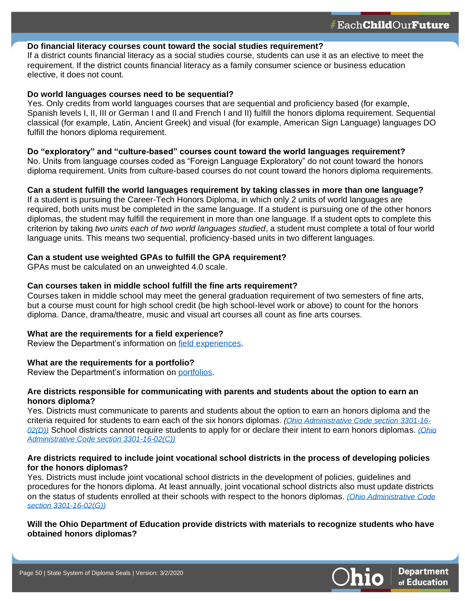#### **Do financial literacy courses count toward the social studies requirement?**

If a district counts financial literacy as a social studies course, students can use it as an elective to meet the requirement. If the district counts financial literacy as a family consumer science or business education elective, it does not count.

#### **Do world languages courses need to be sequential?**

**50**

Yes. Only credits from world languages courses that are sequential and proficiency based (for example, Spanish levels I, II, III or German I and II and French I and II) fulfill the honors diploma requirement. Sequential classical (for example, Latin, Ancient Greek) and visual (for example, American Sign Language) languages DO fulfill the honors diploma requirement.

#### **Do "exploratory" and "culture-based" courses count toward the world languages requirement?**

No. Units from language courses coded as "Foreign Language Exploratory" do not count toward the honors diploma requirement. Units from culture-based courses do not count toward the honors diploma requirements.

#### **Can a student fulfill the world languages requirement by taking classes in more than one language?**

If a student is pursuing the Career-Tech Honors Diploma, in which only 2 units of world languages are required, both units must be completed in the same language. If a student is pursuing one of the other honors diplomas, the student may fulfill the requirement in more than one language. If a student opts to complete this criterion by taking *two units each of two world languages studied*, a student must complete a total of four world language units. This means two sequential, proficiency-based units in two different languages.

#### **Can a student use weighted GPAs to fulfill the GPA requirement?**

GPAs must be calculated on an unweighted 4.0 scale.

#### **Can courses taken in middle school fulfill the fine arts requirement?**

Courses taken in middle school may meet the general graduation requirement of two semesters of fine arts, but a course must count for high school credit (be high school-level work or above) to count for the honors diploma. Dance, drama/theatre, music and visual art courses all count as fine arts courses.

#### **What are the requirements for a field experience?**

Review the Department's information on [field experiences.](http://education.ohio.gov/getattachment/Topics/Ohio-s-Graduation-Requirements/Honors-Diplomas/International-Baccalaureate-Honors-Diploma/Field-Experience-guidance.pdf.aspx)

#### **What are the requirements for a portfolio?**

Review the Department's information on [portfolios.](http://education.ohio.gov/getattachment/Topics/Ohio-s-Graduation-Requirements/Honors-Diplomas/International-Baccalaureate-Honors-Diploma/Portfolio-guidance.pdf.aspx)

#### **Are districts responsible for communicating with parents and students about the option to earn an honors diploma?**

Yes. Districts must communicate to parents and students about the option to earn an honors diploma and the criteria required for students to earn each of the six honors diplomas*. [\(Ohio Administrative Code section](http://codes.ohio.gov/oac/3301-16-02) 3301-16- [02\(D\)\)](http://codes.ohio.gov/oac/3301-16-02)* School districts cannot require students to apply for or declare their intent to earn honors diplomas. *[\(Ohio](http://codes.ohio.gov/oac/3301-16-02)  [Administrative Code section 3301-16-02\(C\)\)](http://codes.ohio.gov/oac/3301-16-02)*

#### **Are districts required to include joint vocational school districts in the process of developing policies for the honors diplomas?**

Yes. Districts must include joint vocational school districts in the development of policies, guidelines and procedures for the honors diploma. At least annually, joint vocational school districts also must update districts on the status of students enrolled at their schools with respect to the honors diplomas*. [\(Ohio Administrative Code](http://codes.ohio.gov/oac/3301-16-02) section [3301-16-02\(G\)\)](http://codes.ohio.gov/oac/3301-16-02)*

#### **Will the Ohio Department of Education provide districts with materials to recognize students who have obtained honors diplomas?**

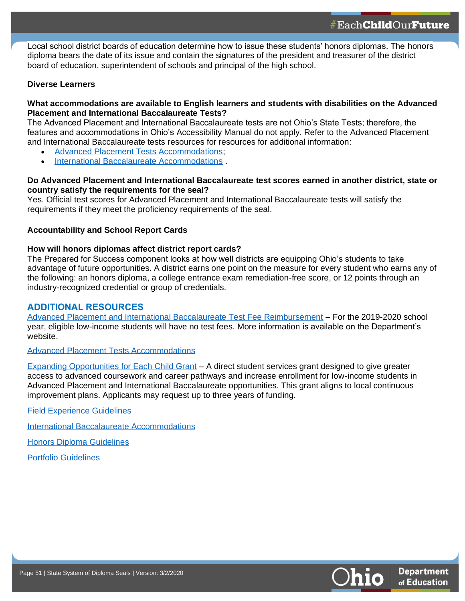Local school district boards of education determine how to issue these students' honors diplomas. The honors diploma bears the date of its issue and contain the signatures of the president and treasurer of the district board of education, superintendent of schools and principal of the high school.

#### **Diverse Learners**

**51**

#### **What accommodations are available to English learners and students with disabilities on the Advanced Placement and International Baccalaureate Tests?**

The Advanced Placement and International Baccalaureate tests are not Ohio's State Tests; therefore, the features and accommodations in Ohio's Accessibility Manual do not apply. Refer to the Advanced Placement and International Baccalaureate tests resources for resources for additional information:

- [Advanced Placement Tests Accommodations;](https://apcentral.collegeboard.org/ap-coordinators/preparing-exam-day/accommodations)
- [International Baccalaureate Accommodations](https://www.haef.gr/~/media/Files/HAEF/IB/pdf/Info_for_parents/Candidates_with_SpecialAssessmentNeeds_2011.ashx?la=en) .

#### **Do Advanced Placement and International Baccalaureate test scores earned in another district, state or country satisfy the requirements for the seal?**

Yes. Official test scores for Advanced Placement and International Baccalaureate tests will satisfy the requirements if they meet the proficiency requirements of the seal.

#### **Accountability and School Report Cards**

#### **How will honors diplomas affect district report cards?**

The Prepared for Success component looks at how well districts are equipping Ohio's students to take advantage of future opportunities. A district earns one point on the measure for every student who earns any of the following: an honors diploma, a college entrance exam remediation-free score, or 12 points through an industry-recognized credential or group of credentials.

#### **ADDITIONAL RESOURCES**

[Advanced Placement and International Baccalaureate Test Fee Reimbursement](http://education.ohio.gov/Topics/Learning-in-Ohio/Advanced-Placement-and-International-Baccalaureate) – For the 2019-2020 school year, eligible low-income students will have no test fees. More information is available on the Department's website.

[Advanced Placement Tests Accommodations](https://apcentral.collegeboard.org/ap-coordinators/preparing-exam-day/accommodations)

[Expanding Opportunities for Each Child Grant](http://education.ohio.gov/Topics/District-and-School-Continuous-Improvement/Expanding-Opportunities-for-Each-Child-EOEC-A) – A direct student services grant designed to give greater access to advanced coursework and career pathways and increase enrollment for low-income students in Advanced Placement and International Baccalaureate opportunities. This grant aligns to local continuous improvement plans. Applicants may request up to three years of funding.

[Field Experience Guidelines](http://education.ohio.gov/getattachment/Topics/Ohio-s-Graduation-Requirements/Honors-Diplomas/International-Baccalaureate-Honors-Diploma/Field-Experience-guidance.pdf.aspx)

[International Baccalaureate Accommodations](https://www.haef.gr/~/media/Files/HAEF/IB/pdf/Info_for_parents/Candidates_with_SpecialAssessmentNeeds_2011.ashx?la=en)

[Honors Diploma Guidelines](http://education.ohio.gov/Topics/Ohio-s-Graduation-Requirements/Honors-Diplomas)

[Portfolio Guidelines](file:///C:/Users/10052995/AppData/Local/Microsoft/Windows/INetCache/Content.Outlook/XEDOLN6B/education.ohio.gov/getattachment/Topics/Ohio-s-Graduation-Requirements/Honors-Diplomas/International-Baccalaureate-Honors-Diploma/Portfolio-guidance.pdf.aspx)

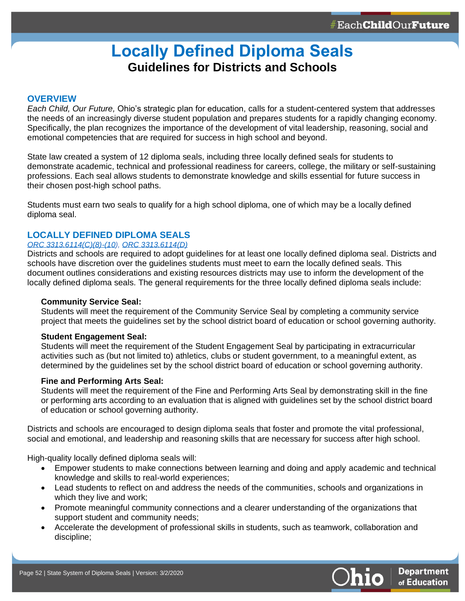## **Locally Defined Diploma Seals Guidelines for Districts and Schools**

#### **OVERVIEW**

<span id="page-51-0"></span>**52**

*Each Child, Our Future,* Ohio's strategic plan for education, calls for a student-centered system that addresses the needs of an increasingly diverse student population and prepares students for a rapidly changing economy. Specifically, the plan recognizes the importance of the development of vital leadership, reasoning, social and emotional competencies that are required for success in high school and beyond.

State law created a system of 12 diploma seals, including three locally defined seals for students to demonstrate academic, technical and professional readiness for careers, college, the military or self-sustaining professions. Each seal allows students to demonstrate knowledge and skills essential for future success in their chosen post-high school paths.

Students must earn two seals to qualify for a high school diploma, one of which may be a locally defined diploma seal.

#### **LOCALLY DEFINED DIPLOMA SEALS**

#### *[ORC 3313.6114\(C\)\(8\)-\(10\)](http://codes.ohio.gov/orc/3313.6114), [ORC 3313.6114\(D\)](http://codes.ohio.gov/orc/3313.6114)*

Districts and schools are required to adopt guidelines for at least one locally defined diploma seal. Districts and schools have discretion over the guidelines students must meet to earn the locally defined seals. This document outlines considerations and existing resources districts may use to inform the development of the locally defined diploma seals. The general requirements for the three locally defined diploma seals include:

#### **Community Service Seal:**

Students will meet the requirement of the Community Service Seal by completing a community service project that meets the guidelines set by the school district board of education or school governing authority.

#### **Student Engagement Seal:**

Students will meet the requirement of the Student Engagement Seal by participating in extracurricular activities such as (but not limited to) athletics, clubs or student government, to a meaningful extent, as determined by the guidelines set by the school district board of education or school governing authority.

#### **Fine and Performing Arts Seal:**

Students will meet the requirement of the Fine and Performing Arts Seal by demonstrating skill in the fine or performing arts according to an evaluation that is aligned with guidelines set by the school district board of education or school governing authority.

Districts and schools are encouraged to design diploma seals that foster and promote the vital professional, social and emotional, and leadership and reasoning skills that are necessary for success after high school.

High-quality locally defined diploma seals will:

- Empower students to make connections between learning and doing and apply academic and technical knowledge and skills to real-world experiences;
- Lead students to reflect on and address the needs of the communities, schools and organizations in which they live and work;
- Promote meaningful community connections and a clearer understanding of the organizations that support student and community needs;
- Accelerate the development of professional skills in students, such as teamwork, collaboration and discipline;

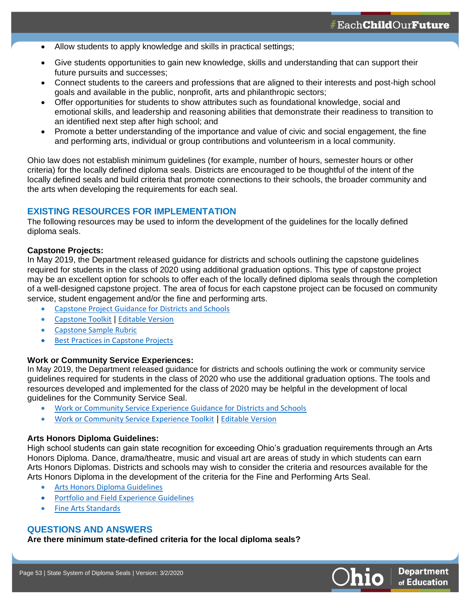- Allow students to apply knowledge and skills in practical settings;
- Give students opportunities to gain new knowledge, skills and understanding that can support their future pursuits and successes;
- Connect students to the careers and professions that are aligned to their interests and post-high school goals and available in the public, nonprofit, arts and philanthropic sectors;
- Offer opportunities for students to show attributes such as foundational knowledge, social and emotional skills, and leadership and reasoning abilities that demonstrate their readiness to transition to an identified next step after high school; and
- Promote a better understanding of the importance and value of civic and social engagement, the fine and performing arts, individual or group contributions and volunteerism in a local community.

Ohio law does not establish minimum guidelines (for example, number of hours, semester hours or other criteria) for the locally defined diploma seals. Districts are encouraged to be thoughtful of the intent of the locally defined seals and build criteria that promote connections to their schools, the broader community and the arts when developing the requirements for each seal.

#### **EXISTING RESOURCES FOR IMPLEMENTATION**

The following resources may be used to inform the development of the guidelines for the locally defined diploma seals.

#### **Capstone Projects:**

**53**

In May 2019, the Department released guidance for districts and schools outlining the capstone guidelines required for students in the class of 2020 using additional graduation options. This type of capstone project may be an excellent option for schools to offer each of the locally defined diploma seals through the completion of a well-designed capstone project. The area of focus for each capstone project can be focused on community service, student engagement and/or the fine and performing arts.

- [Capstone Project Guidance for Districts and Schools](http://education.ohio.gov/getattachment/Topics/Ohio-s-Graduation-Requirements/Earning-an-Ohio-High-School-Diploma-for-the-Cl-1/Work-and-Community-Service-Experience-and-Capstone/Capstone_Project_Guidlines.pdf.aspx?lang=en-US)
- [Capstone Toolkit](http://education.ohio.gov/getattachment/Topics/Ohio-s-Graduation-Requirements/Earning-an-Ohio-High-School-Diploma-for-the-Cl-1/Work-and-Community-Service-Experience-and-Capstone/CapstoneToolkit.pdf.aspx?lang=en-US) | [Editable Version](http://education.ohio.gov/getattachment/Topics/Ohio-s-Graduation-Requirements/Earning-an-Ohio-High-School-Diploma-for-the-Cl-1/Work-and-Community-Service-Experience-and-Capstone/Capstone-Toolkit.docx.aspx?lang=en-US)
- [Capstone Sample Rubric](http://education.ohio.gov/getattachment/Topics/Ohio-s-Graduation-Requirements/Earning-an-Ohio-High-School-Diploma-for-the-Cl-1/Work-and-Community-Service-Experience-and-Capstone/Capstone-Rubric.pdf.aspx?lang=en-US)
- **Best Practices in Capstone Projects**

#### **Work or Community Service Experiences:**

In May 2019, the Department released guidance for districts and schools outlining the work or community service guidelines required for students in the class of 2020 who use the additional graduation options. The tools and resources developed and implemented for the class of 2020 may be helpful in the development of local guidelines for the Community Service Seal.

- [Work or Community Service Experience Guidance for Districts and Schools](http://education.ohio.gov/getattachment/Topics/Ohio-s-Graduation-Requirements/Earning-an-Ohio-High-School-Diploma-for-the-Cl-1/Work-and-Community-Service-Experience-and-Capstone/Work-Experience_2020_Graduation.pdf.aspx?lang=en-US)
- [Work or Community Service Experience Toolkit](http://education.ohio.gov/getattachment/Topics/Ohio-s-Graduation-Requirements/Earning-an-Ohio-High-School-Diploma-for-the-Cl-1/Work-and-Community-Service-Experience-and-Capstone/Work-Experience-Toolkit.pdf.aspx?lang=en-US) | [Editable Version](http://education.ohio.gov/getattachment/Topics/Ohio-s-Graduation-Requirements/Earning-an-Ohio-High-School-Diploma-for-the-Cl-1/Work-and-Community-Service-Experience-and-Capstone/Work-Community-Service-Toolkit.docx.aspx?lang=en-US)

#### **Arts Honors Diploma Guidelines:**

High school students can gain state recognition for exceeding Ohio's graduation requirements through an Arts Honors Diploma. Dance, drama/theatre, music and visual art are areas of study in which students can earn Arts Honors Diplomas. Districts and schools may wish to consider the criteria and resources available for the Arts Honors Diploma in the development of the criteria for the Fine and Performing Arts Seal.

- [Arts Honors Diploma Guidelines](http://education.ohio.gov/Topics/Ohio-s-Graduation-Requirements/Honors-Diplomas/Arts-Honors-Diploma)
- Portfolio and Field Experience Guidelines
- [Fine Arts Standards](http://education.ohio.gov/Topics/Learning-in-Ohio/Fine-Arts/Fine-Arts-Standards)

#### **QUESTIONS AND ANSWERS**

**Are there minimum state-defined criteria for the local diploma seals?**

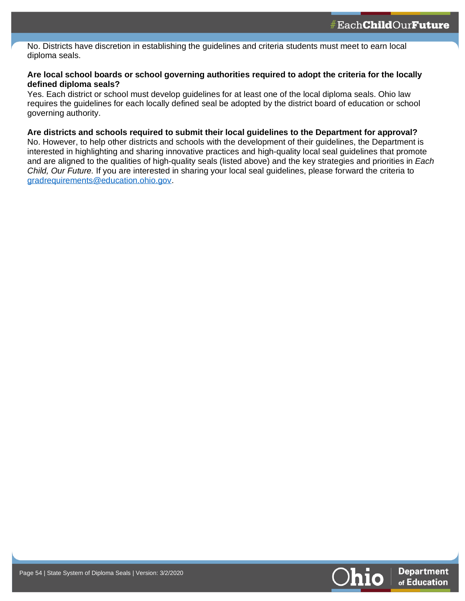No. Districts have discretion in establishing the guidelines and criteria students must meet to earn local diploma seals.

#### **Are local school boards or school governing authorities required to adopt the criteria for the locally defined diploma seals?**

Yes. Each district or school must develop guidelines for at least one of the local diploma seals. Ohio law requires the guidelines for each locally defined seal be adopted by the district board of education or school governing authority.

#### **Are districts and schools required to submit their local guidelines to the Department for approval?**

No. However, to help other districts and schools with the development of their guidelines, the Department is interested in highlighting and sharing innovative practices and high-quality local seal guidelines that promote and are aligned to the qualities of high-quality seals (listed above) and the key strategies and priorities in *Each Child, Our Future.* If you are interested in sharing your local seal guidelines, please forward the criteria to [gradrequirements@education.ohio.gov.](mailto:gradrequirements@education.ohio.gov)



**54**

**54**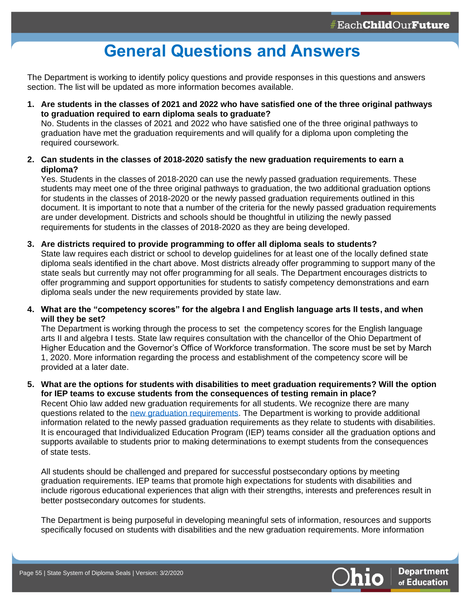## **General Questions and Answers**

<span id="page-54-0"></span>The Department is working to identify policy questions and provide responses in this questions and answers section. The list will be updated as more information becomes available.

**1. Are students in the classes of 2021 and 2022 who have satisfied one of the three original pathways to graduation required to earn diploma seals to graduate?**

No. Students in the classes of 2021 and 2022 who have satisfied one of the three original pathways to graduation have met the graduation requirements and will qualify for a diploma upon completing the required coursework.

**2. Can students in the classes of 2018-2020 satisfy the new graduation requirements to earn a diploma?** 

Yes. Students in the classes of 2018-2020 can use the newly passed graduation requirements. These students may meet one of the three original pathways to graduation, the two additional graduation options for students in the classes of 2018-2020 or the newly passed graduation requirements outlined in this document. It is important to note that a number of the criteria for the newly passed graduation requirements are under development. Districts and schools should be thoughtful in utilizing the newly passed requirements for students in the classes of 2018-2020 as they are being developed.

- **3. Are districts required to provide programming to offer all diploma seals to students?** State law requires each district or school to develop guidelines for at least one of the locally defined state diploma seals identified in the chart above. Most districts already offer programming to support many of the state seals but currently may not offer programming for all seals. The Department encourages districts to offer programming and support opportunities for students to satisfy competency demonstrations and earn diploma seals under the new requirements provided by state law.
- **4. What are the "competency scores" for the algebra I and English language arts II tests, and when will they be set?**

The Department is working through the process to set the competency scores for the English language arts II and algebra I tests. State law requires consultation with the chancellor of the Ohio Department of Higher Education and the Governor's Office of Workforce transformation. The score must be set by March 1, 2020. More information regarding the process and establishment of the competency score will be provided at a later date.

**5. What are the options for students with disabilities to meet graduation requirements? Will the option for IEP teams to excuse students from the consequences of testing remain in place?**

Recent Ohio law added new graduation requirements for all students. We recognize there are many questions related to the [new graduation requirements.](http://education.ohio.gov/getattachment/Topics/Ohio-s-Graduation-Requirements/Graduation-2021-and-beyond_Guidance-Document.pdf) The Department is working to provide additional information related to the newly passed graduation requirements as they relate to students with disabilities. It is encouraged that Individualized Education Program (IEP) teams consider all the graduation options and supports available to students prior to making determinations to exempt students from the consequences of state tests.

All students should be challenged and prepared for successful postsecondary options by meeting graduation requirements. IEP teams that promote high expectations for students with disabilities and include rigorous educational experiences that align with their strengths, interests and preferences result in better postsecondary outcomes for students.

The Department is being purposeful in developing meaningful sets of information, resources and supports specifically focused on students with disabilities and the new graduation requirements. More information



**55**